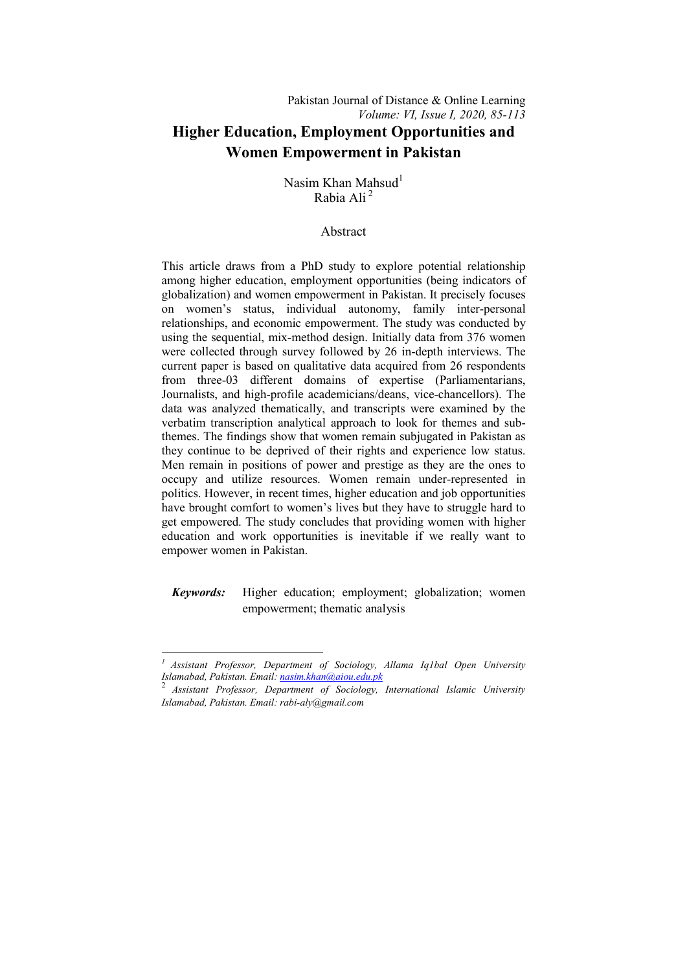# Nasim Khan Mahsud $<sup>1</sup>$ </sup> Rabia Ali<sup>2</sup>

## Abstract

This article draws from a PhD study to explore potential relationship among higher education, employment opportunities (being indicators of globalization) and women empowerment in Pakistan. It precisely focuses on women's status, individual autonomy, family inter-personal relationships, and economic empowerment. The study was conducted by using the sequential, mix-method design. Initially data from 376 women were collected through survey followed by 26 in-depth interviews. The current paper is based on qualitative data acquired from 26 respondents from three-03 different domains of expertise (Parliamentarians, Journalists, and high-profile academicians/deans, vice-chancellors). The data was analyzed thematically, and transcripts were examined by the verbatim transcription analytical approach to look for themes and subthemes. The findings show that women remain subjugated in Pakistan as they continue to be deprived of their rights and experience low status. Men remain in positions of power and prestige as they are the ones to occupy and utilize resources. Women remain under-represented in politics. However, in recent times, higher education and job opportunities have brought comfort to women's lives but they have to struggle hard to get empowered. The study concludes that providing women with higher education and work opportunities is inevitable if we really want to empower women in Pakistan.

# *Keywords:* Higher education; employment; globalization; women empowerment; thematic analysis

1

*<sup>1</sup> Assistant Professor, Department of Sociology, Allama Iq1bal Open University Islamabad, Pakistan. Email: nasim.khan@aiou.edu.pk*

<sup>2</sup> *Assistant Professor, Department of Sociology, International Islamic University Islamabad, Pakistan. Email: rabi-aly@gmail.com*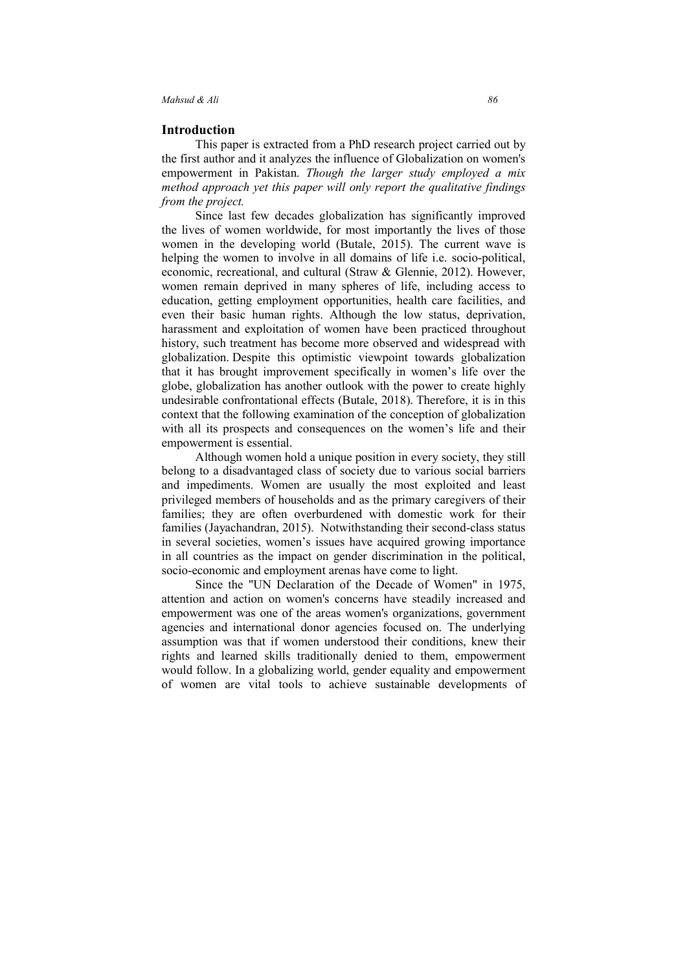#### **Introduction**

This paper is extracted from a PhD research project carried out by the first author and it analyzes the influence of Globalization on women's empowerment in Pakistan. *Though the larger study employed a mix method approach yet this paper will only report the qualitative findings from the project.* 

Since last few decades globalization has significantly improved the lives of women worldwide, for most importantly the lives of those women in the developing world (Butale, 2015). The current wave is helping the women to involve in all domains of life i.e. socio-political, economic, recreational, and cultural (Straw & Glennie, 2012). However, women remain deprived in many spheres of life, including access to education, getting employment opportunities, health care facilities, and even their basic human rights. Although the low status, deprivation, harassment and exploitation of women have been practiced throughout history, such treatment has become more observed and widespread with globalization. Despite this optimistic viewpoint towards globalization that it has brought improvement specifically in women's life over the globe, globalization has another outlook with the power to create highly undesirable confrontational effects (Butale, 2018). Therefore, it is in this context that the following examination of the conception of globalization with all its prospects and consequences on the women's life and their empowerment is essential.

Although women hold a unique position in every society, they still belong to a disadvantaged class of society due to various social barriers and impediments. Women are usually the most exploited and least privileged members of households and as the primary caregivers of their families; they are often overburdened with domestic work for their families (Jayachandran, 2015). Notwithstanding their second-class status in several societies, women's issues have acquired growing importance in all countries as the impact on gender discrimination in the political, socio-economic and employment arenas have come to light.

Since the "UN Declaration of the Decade of Women" in 1975, attention and action on women's concerns have steadily increased and empowerment was one of the areas women's organizations, government agencies and international donor agencies focused on. The underlying assumption was that if women understood their conditions, knew their rights and learned skills traditionally denied to them, empowerment would follow. In a globalizing world, gender equality and empowerment of women are vital tools to achieve sustainable developments of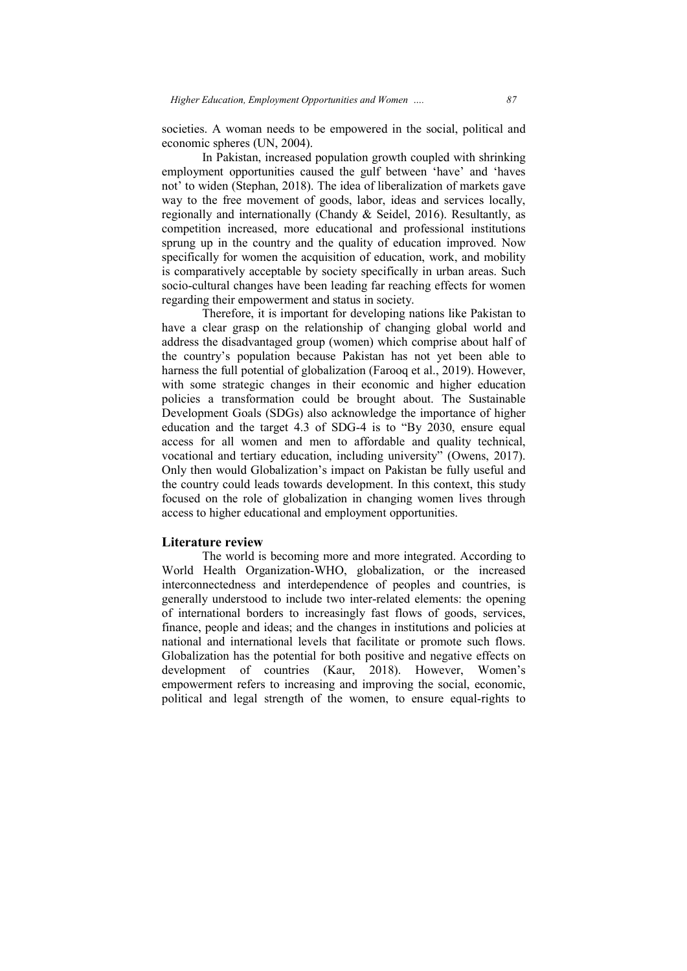societies. A woman needs to be empowered in the social, political and economic spheres (UN, 2004).

In Pakistan, increased population growth coupled with shrinking employment opportunities caused the gulf between 'have' and 'haves not' to widen (Stephan, 2018). The idea of liberalization of markets gave way to the free movement of goods, labor, ideas and services locally, regionally and internationally (Chandy & Seidel, 2016). Resultantly, as competition increased, more educational and professional institutions sprung up in the country and the quality of education improved. Now specifically for women the acquisition of education, work, and mobility is comparatively acceptable by society specifically in urban areas. Such socio-cultural changes have been leading far reaching effects for women socio-cultural changes have been leading far reach<br>regarding their empowerment and status in society.

Therefore, it is important for developing nations like Pakistan to have a clear grasp on the relationship of changing global world and address the disadvantaged group (women) which comprise about half of the country's population because Pakistan has not yet been able to harness the full potential of globalization (Farooq et al., 2019). However, with some strategic changes in their economic and higher education policies a transformation could be brought about. The Sustainable Development Goals (SDGs) also acknowledge the importance of higher education and the target 4.3 of SDG SDG-4 is to "By 2030, ensure equal access for all women and men to affordable and quality technical, vocational and tertiary education, including university" (Owens, 2017). Only then would Globalization's impact on Pakistan be fully useful and the country could leads towards development. In this context, this study focused on the role of globalization in changing women lives through access to higher educational and employment opportunities. e country's population because Pakistan has not yet been able to the Sustainable potential of globalization (Farooq et al., 2019). However, ith some strategic changes in their economic and higher education blicies a transf woman needs to be empowered in the social, political and<br>hexis (UN, 2004). Compared poulation growth coupled with shrinking<br>t opportunities caused the gulf between 'have' and 'haves<br>n (Stephan, 2018). The idea of liberaliz

#### **Literature review**

The world is becoming more and more integrated. According to World Health Organization Organization-WHO, globalization, or the increased interconnectedness and interdependence of peoples and countries, is generally understood to include two inter-related elements: the opening of international borders to increasingly fast flows of goods, services, finance, people and ideas; and the changes in institutions and policies at national and international levels that facilitate or promote such flows. Globalization has the potential for both positive and negative effects on Globalization has the potential for both positive and negative effects on development of countries (Kaur, 2018). However, Women's empowerment refers to increasing and improving the social, economic, political and legal strength of the women, to ensure equal-rights to e two inter-related elements: the openince<br>reasingly fast flows of goods, servic<br>the changes in institutions and policies<br>ls that facilitate or promote such flov<br>for both positive and negative effects<br>(Kaur, 2018). However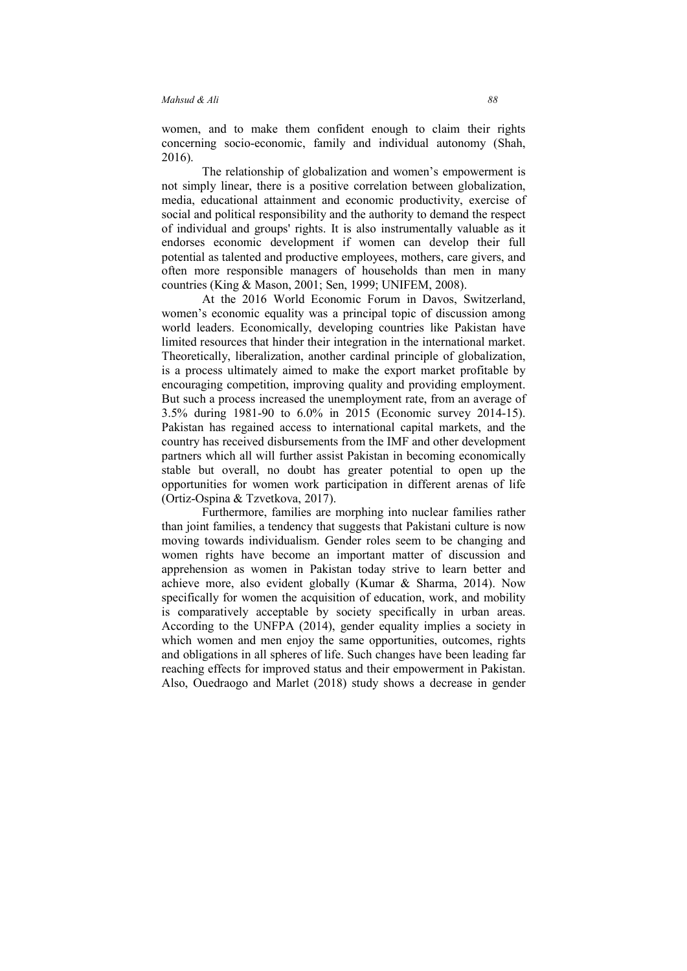women, and to make them confident enough to claim their rights concerning socio-economic, family and individual autonomy (Shah, 2016).

The relationship of globalization and women's empowerment is not simply linear, there is a positive correlation between globalization, media, educational attainment and economic productivity, exercise of social and political responsibility and the authority to demand the respect of individual and groups' rights. It is also instrumentally valuable as it endorses economic development if women can develop their full potential as talented and productive employees, mothers, care givers, and often more responsible managers of households than men in many countries (King & Mason, 2001; Sen, 1999; UNIFEM, 2008).

At the 2016 World Economic Forum in Davos, Switzerland, women's economic equality was a principal topic of discussion among world leaders. Economically, developing countries like Pakistan have limited resources that hinder their integration in the international market. Theoretically, liberalization, another cardinal principle of globalization, is a process ultimately aimed to make the export market profitable by encouraging competition, improving quality and providing employment. But such a process increased the unemployment rate, from an average of 3.5% during 1981-90 to 6.0% in 2015 (Economic survey 2014-15). Pakistan has regained access to international capital markets, and the country has received disbursements from the IMF and other development partners which all will further assist Pakistan in becoming economically stable but overall, no doubt has greater potential to open up the opportunities for women work participation in different arenas of life (Ortiz-Ospina & Tzvetkova, 2017).

Furthermore, families are morphing into nuclear families rather than joint families, a tendency that suggests that Pakistani culture is now moving towards individualism. Gender roles seem to be changing and women rights have become an important matter of discussion and apprehension as women in Pakistan today strive to learn better and achieve more, also evident globally (Kumar & Sharma, 2014). Now specifically for women the acquisition of education, work, and mobility is comparatively acceptable by society specifically in urban areas. According to the UNFPA (2014), gender equality implies a society in which women and men enjoy the same opportunities, outcomes, rights and obligations in all spheres of life. Such changes have been leading far reaching effects for improved status and their empowerment in Pakistan. Also, Ouedraogo and Marlet (2018) study shows a decrease in gender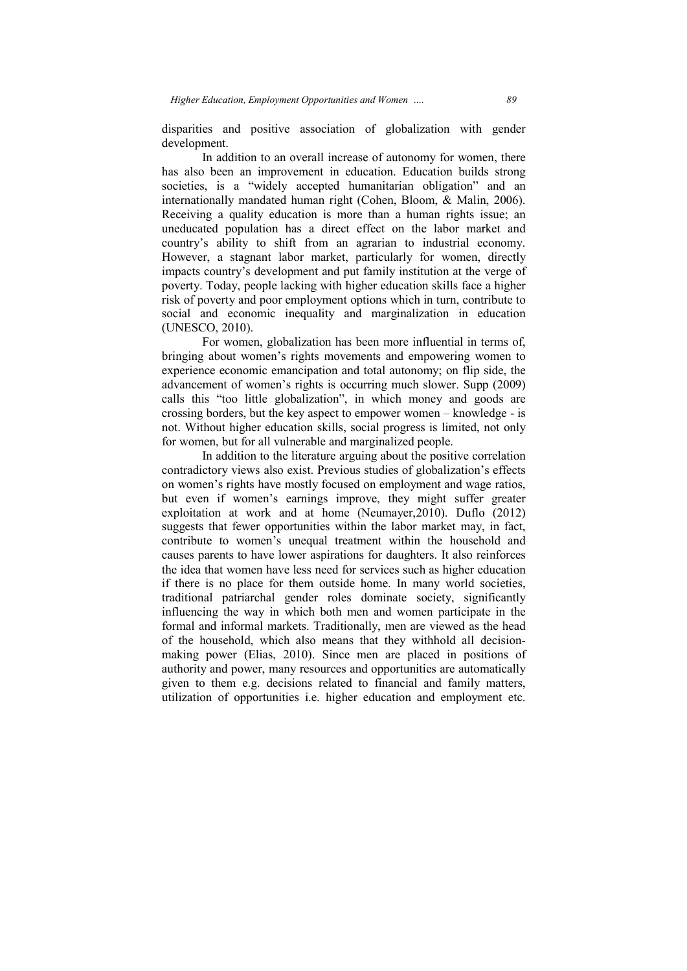disparities and positive association of globalization with gender development.

In addition to an overall increase of autonomy for women, there has also been an improvement in education. Education builds strong societies, is a "widely accepted humanitarian obligation" and an societies, is a "widely accepted humanitarian obligation" and an internationally mandated human right (Cohen, Bloom, & Malin, 2006). Receiving a quality education is more than a human rights issue; an uneducated population has a direct effect on the labor market and country's ability to shift from an agrarian to industrial economy. However, a stagnant labor market, particularly for women, directly impacts country's development and put family institution at the verge of poverty. Today, people lacking with higher education skills face a higher risk of poverty and poor employment options which in turn, contribute to social and economic inequality and marginalization in education (UNESCO, 2010). ation has a direct effect on the labor market and<br>to shift from an agrarian to industrial economy.<br>lant labor market, particularly for women, directly<br>development and put family institution at the verge of ulation has a direct effect on the labor market and<br>y to shift from an agrarian to industrial economy.<br>gnant labor market, particularly for women, directly<br>s development and put family institution at the verge of<br>people la

For women, globalization has been more influential in terms of, bringing about women's rights movements and empowering women to experience economic emancipation and total autonomy; on flip side, the advancement of women's rights is occurring much slower. Supp (2009) calls this "too little globalization", in which money and goods are calls this "too little globalization", in which money and goods crossing borders, but the key aspect to empower women – knowledge not. Without higher education skills, social progress is limited, not only for women, but for all vulnerable and marginalized people. In addition to the literature arguing about the positive correlation.<br>In addition to the literature arguing about the positive correlation

contradictory views also exist. Previous studies of globalization's effects on women's rights have mostly focused on employment and wage ratios, but even if women's earnings improve, they might suffer greater exploitation at work and at home (Neumayer,2010). Duflo (2012) suggests that fewer opportunities within the labor market may, in fact, suggests that fewer opportunities within the labor market may, in fact, contribute to women's unequal treatment within the household and causes parents to have lower aspirations for daughters. It also reinforces the idea that women have less need for services such as higher education if there is no place for them outside home. In many world societies, traditional patri patriarchal gender roles dominate society, significantly influencing the way in which both men and women participate in the formal and informal markets. Traditionally, men are viewed as the head of the household, which also means that they withhold all decision making power (Elias, 2010). Since men are placed in positions of authority and power, many resources and opportunities are automatically given to them e.g. decisions related to financial and family matters, utilization of opportunities i.e. higher educati on and informal markets. Traditionally, men are viewed as the head household, which also means that they withhold all decision-<br>g power (Elias, 2010). Since men are placed in positions of<br>ity and power, many resources and opp y views also exist. Previous studies of globalization's effects rights have mostly focused on employment and wage ratios,<br>
I women's earnings improve, they might suffer greater at work and at home (Neumayer, 2010). Duflo (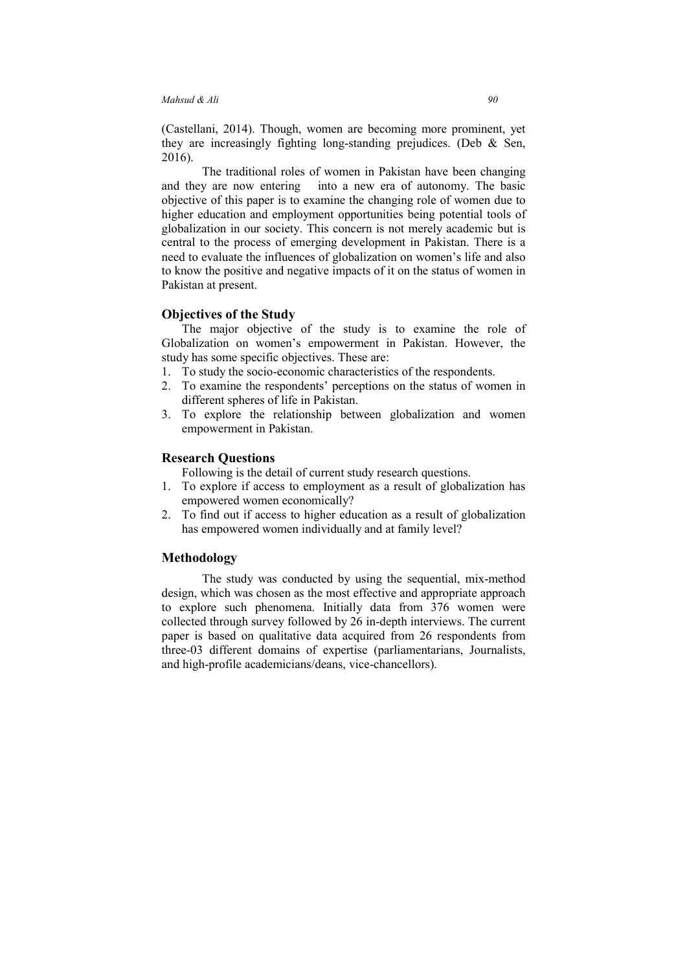(Castellani, 2014). Though, women are becoming more prominent, yet they are increasingly fighting long-standing prejudices. (Deb & Sen, 2016).

The traditional roles of women in Pakistan have been changing and they are now entering into a new era of autonomy. The basic objective of this paper is to examine the changing role of women due to higher education and employment opportunities being potential tools of globalization in our society. This concern is not merely academic but is central to the process of emerging development in Pakistan. There is a need to evaluate the influences of globalization on women's life and also to know the positive and negative impacts of it on the status of women in Pakistan at present.

### **Objectives of the Study**

The major objective of the study is to examine the role of Globalization on women's empowerment in Pakistan. However, the study has some specific objectives. These are:

- 1. To study the socio-economic characteristics of the respondents.
- 2. To examine the respondents' perceptions on the status of women in different spheres of life in Pakistan.
- 3. To explore the relationship between globalization and women empowerment in Pakistan.

#### **Research Questions**

Following is the detail of current study research questions.

- 1. To explore if access to employment as a result of globalization has empowered women economically?
- 2. To find out if access to higher education as a result of globalization has empowered women individually and at family level?

### **Methodology**

The study was conducted by using the sequential, mix-method design, which was chosen as the most effective and appropriate approach to explore such phenomena. Initially data from 376 women were collected through survey followed by 26 in-depth interviews. The current paper is based on qualitative data acquired from 26 respondents from three-03 different domains of expertise (parliamentarians, Journalists, and high-profile academicians/deans, vice-chancellors).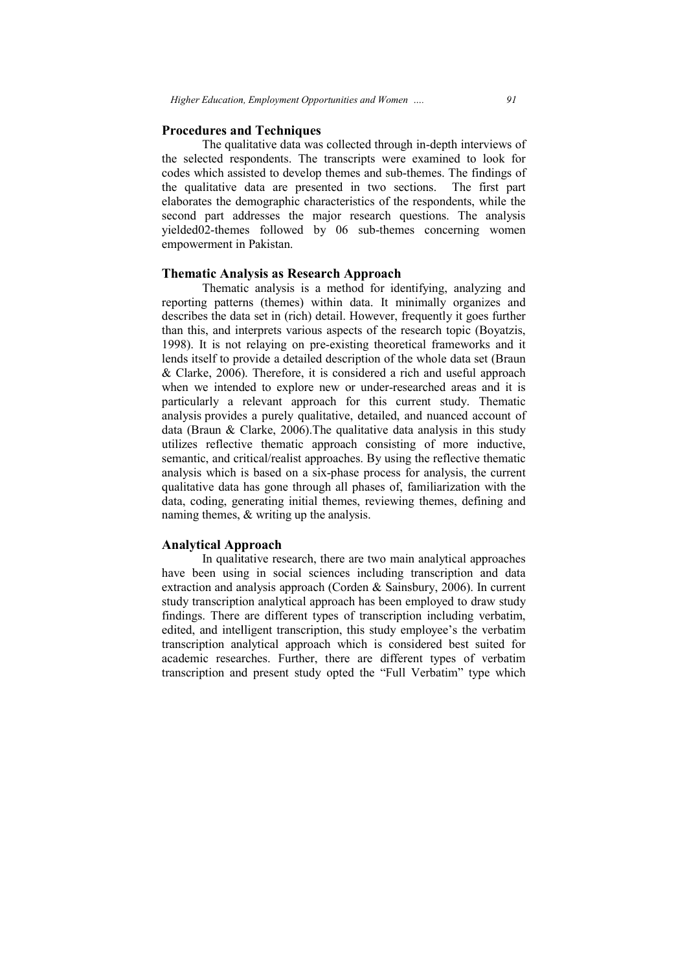#### **Procedures and Techniques**

The qualitative data was collected through in-depth interviews of the selected respondents. The transcripts were examined to look for the selected respondents. The transcripts were examined to look for codes which assisted to develop themes and sub-themes. The findings of the qualitative data are presented in two sections. The first part elaborates the demographic characteristics of the respondents, while the second part addresses the major research questions. The analysis yielded02-themes followed by 06 sub-themes concerning women empowerment in Pakistan. the demographic characteristics of the respondents, while the<br>art addresses the major research questions. The analysis<br>themes followed by 06 sub-themes concerning women

### **Thematic Analysis as Research Approach Analysis**

Thematic analysis is a method for identifying, analyzing and reporting patterns (themes) within data. It minimally organizes and describes the data set in (rich) detail. However, frequently it goes further describes the data set in (rich) detail. However, frequently it goes further than this, and interprets various aspects of the research topic (Boyatzis, 1998). It is not relaying on pre-existing theoretical frameworks and it lends itself to provide a detailed description of the whole data set (Braun & Clarke, 2006). Therefore, it is considered a rich and useful approach when we intended to explore new or under-researched areas and it is particularly a relevant approach for this current study. Thematic analysis provides a purely qualitative, detailed, and nuanced account of data (Braun  $&$  Clarke, 2006). The qualitative data analysis in this study utilizes reflective thematic approach consisting of more inductive, semantic, and critical/realist approaches. By using the reflective thematic analysis which is based on a six-phase process for analysis, the current qualitative data has gone through all phases of, familiarization with the data, coding, generating initial themes, reviewing themes, defining and naming themes, & writing up the analysis. data was collected through in-depth interviews of<br>s. The transcripts were examined to look for<br>develop themes and sub-themes. The findings of<br>e presented in two sections. The first part<br>hic characteristics of the responden

#### **Analytical Approach**

In qualitative research, there are two main analytical approaches have been using in social sciences including transcription and data extraction and analysis approach (Corden & Sainsbury, 2006). In current study transcription analytical approach has been employed to draw study findings. There are different types of transcription including verbatim, edited, and intelligent transcription, this study employee's the verbatim transcription analytical approach which is considered best suited for academic researches. Further, there are different types of verbatim transcription and present study opted the "Full Verbatim" type which coding, generating initial themes, reviewing themes, defining and<br>g themes, & writing up the analysis.<br>**The In emalle to defining the analysis**.<br>**The proposed to definitive** research, there are two main analytical approach based on a six-phase process for analysis, the current<br>is gone through all phases of, familiarization with the<br>rating initial themes, reviewing themes, defining and<br>writing up the analysis.<br>**Dach**<br>we research, there are tw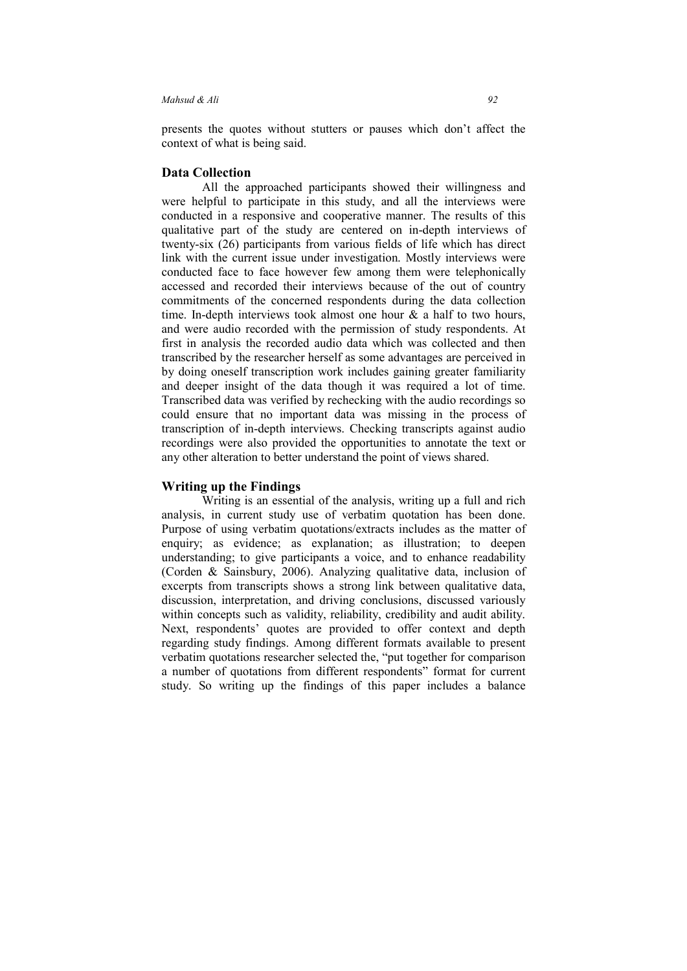presents the quotes without stutters or pauses which don't affect the context of what is being said.

### **Data Collection**

All the approached participants showed their willingness and were helpful to participate in this study, and all the interviews were conducted in a responsive and cooperative manner. The results of this qualitative part of the study are centered on in-depth interviews of twenty-six (26) participants from various fields of life which has direct link with the current issue under investigation. Mostly interviews were conducted face to face however few among them were telephonically accessed and recorded their interviews because of the out of country commitments of the concerned respondents during the data collection time. In-depth interviews took almost one hour  $\&$  a half to two hours, and were audio recorded with the permission of study respondents. At first in analysis the recorded audio data which was collected and then transcribed by the researcher herself as some advantages are perceived in by doing oneself transcription work includes gaining greater familiarity and deeper insight of the data though it was required a lot of time. Transcribed data was verified by rechecking with the audio recordings so could ensure that no important data was missing in the process of transcription of in-depth interviews. Checking transcripts against audio recordings were also provided the opportunities to annotate the text or any other alteration to better understand the point of views shared.

### **Writing up the Findings**

Writing is an essential of the analysis, writing up a full and rich analysis, in current study use of verbatim quotation has been done. Purpose of using verbatim quotations/extracts includes as the matter of enquiry; as evidence; as explanation; as illustration; to deepen understanding; to give participants a voice, and to enhance readability (Corden & Sainsbury, 2006). Analyzing qualitative data, inclusion of excerpts from transcripts shows a strong link between qualitative data, discussion, interpretation, and driving conclusions, discussed variously within concepts such as validity, reliability, credibility and audit ability. Next, respondents' quotes are provided to offer context and depth regarding study findings. Among different formats available to present verbatim quotations researcher selected the, "put together for comparison a number of quotations from different respondents" format for current study. So writing up the findings of this paper includes a balance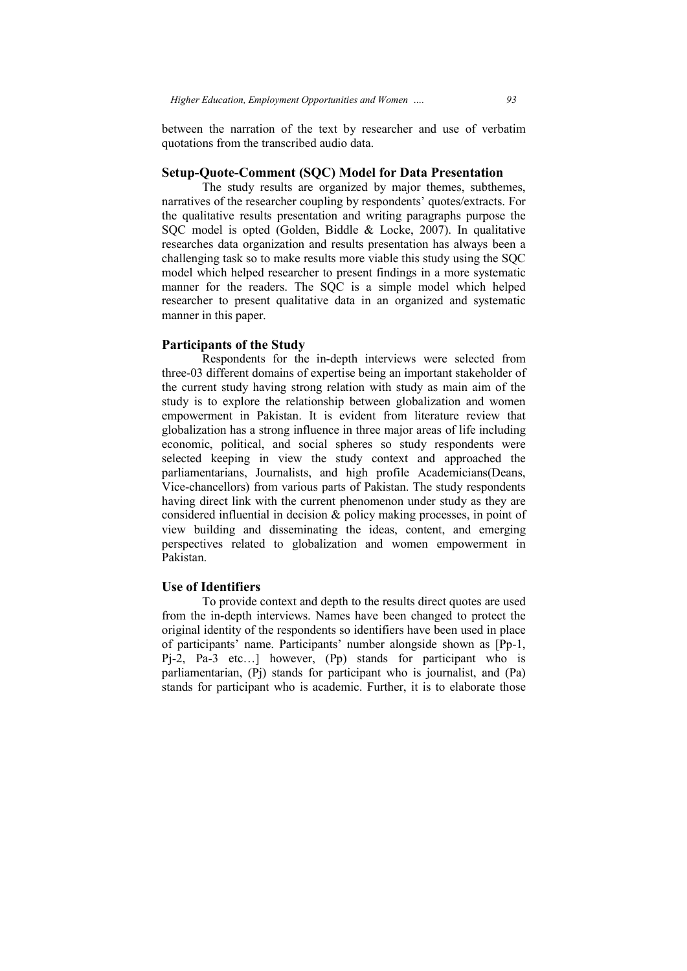### **Setup-Quote-Comment (SQC) Model for Data Presentation Comment for Data Presentation**

The study results are organized by major themes, subthemes, narratives of the researcher coupling by respondents' quotes/extracts. For the qualitative results presentation and writing paragraphs purpose the SQC model is opted (Golden, Biddle & Locke, 2007 2007). In qualitative researches data organization and results presentation has always been a challenging task so to make results more viable this study using the SQC model which helped researcher to present findings in a more systematic manner for the readers. The SQC is a simple model which helped researcher to present qualitative data in an organized and systematic manner in this paper. er to present qualitative data in an organized and systematic<br>
in this paper.<br> **pants of the Study**<br>
Respondents for the in-depth interviews were selected from

#### **Participants of the Study**

three-03 different domains of expertise being an important stakeholder of the current study having strong relation with study as main aim of the study is to explore the relationship between globalization and women empowerment in Pakistan. It is evident from literature review that globalization has a strong influence in three major areas of life including economic, political, and social spheres so study respondents were selected keeping in view the study context and approached the parliamentarians, Journalists, and high profile Academicians(Deans, Vice-chancellors) from various parts of Pakistan. The study respondents having direct link with the current phenomenon under study as they are considered influential in decision & policy making processes, in point of view building and disseminating th perspectives related to globalization and women empowerment in Pakistan. urrent study having strong relation with study as main aim of the<br>is to explore the relationship between globalization and women<br>werment in Pakistan. It is evident from literature review that<br>lization has a strong influenc *lucation. Employment Opportunities and Women* ..... 93<br>
the narration of the text by researcher and use of verbatim<br>
from the transcribed audio data.<br> **EVALUAT EXEC COM COCO Model for Data Presentation**<br>
ce study resu resentation and writing paragraphs purpose the<br>
Golden, Biddle & Locke, 2007). In qualitative<br>
tition and results presentation has always been a<br>
ake results more viable this study using the SQC<br>
earcher to present finding ts of Pakistan. The study respondents<br>phenomenon under study as they are<br>policy making processes, in point of<br>the ideas, content, and emerging<br>tion and women empowerment in<br>th to the results direct quotes are used<br>es have

### **Use of Identifiers**

To provide context and depth to the results direct quotes are used from the in-depth interviews. Names have been changed to protect the original identity of the respondents so identifiers have been used in place of participants' name. Participants' number Pj-2, Pa-3 etc…] however, (Pp) stands for participant who is parliamentarian, (Pj) stands for participant who is journalist, and (Pa) stands for participant who is academic. Further, it is to elaborate those related to globalization and women empowerment<br> **itifiers**<br>
provide context and depth to the results direct quotes are us<br>
depth interviews. Names have been changed to protect<br>
itity of the respondents so identifiers have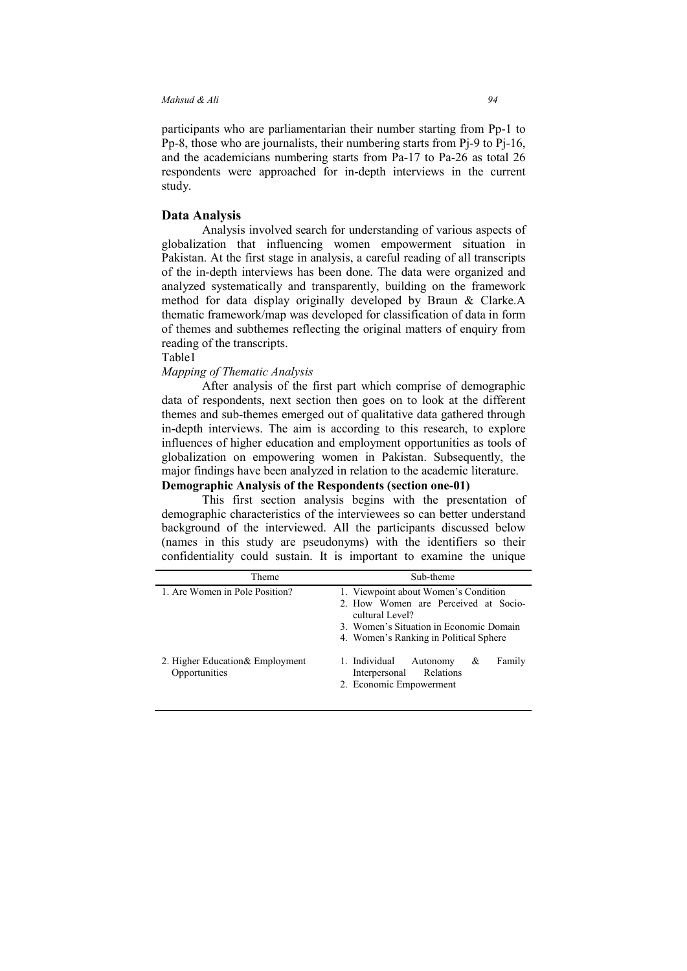participants who are parliamentarian their number starting from Pp-1 to Pp-8, those who are journalists, their numbering starts from Pj-9 to Pj-16, and the academicians numbering starts from Pa-17 to Pa-26 as total 26 respondents were approached for in-depth interviews in the current study.

### **Data Analysis**

Analysis involved search for understanding of various aspects of globalization that influencing women empowerment situation in Pakistan. At the first stage in analysis, a careful reading of all transcripts of the in-depth interviews has been done. The data were organized and analyzed systematically and transparently, building on the framework method for data display originally developed by Braun & Clarke.A thematic framework/map was developed for classification of data in form of themes and subthemes reflecting the original matters of enquiry from reading of the transcripts.

Table1

### *Mapping of Thematic Analysis*

After analysis of the first part which comprise of demographic data of respondents, next section then goes on to look at the different themes and sub-themes emerged out of qualitative data gathered through in-depth interviews. The aim is according to this research, to explore influences of higher education and employment opportunities as tools of globalization on empowering women in Pakistan. Subsequently, the major findings have been analyzed in relation to the academic literature.

# **Demographic Analysis of the Respondents (section one-01)**

This first section analysis begins with the presentation of demographic characteristics of the interviewees so can better understand background of the interviewed. All the participants discussed below (names in this study are pseudonyms) with the identifiers so their confidentiality could sustain. It is important to examine the unique

| Theme                                             | Sub-theme                                                                                                                                                                            |
|---------------------------------------------------|--------------------------------------------------------------------------------------------------------------------------------------------------------------------------------------|
| 1. Are Women in Pole Position?                    | 1. Viewpoint about Women's Condition<br>2. How Women are Perceived at Socio-<br>cultural Level?<br>3. Women's Situation in Economic Domain<br>4. Women's Ranking in Political Sphere |
| 2. Higher Education & Employment<br>Opportunities | 1. Individual<br>Family<br>Autonomy<br>&<br>Interpersonal Relations<br>2. Economic Empowerment                                                                                       |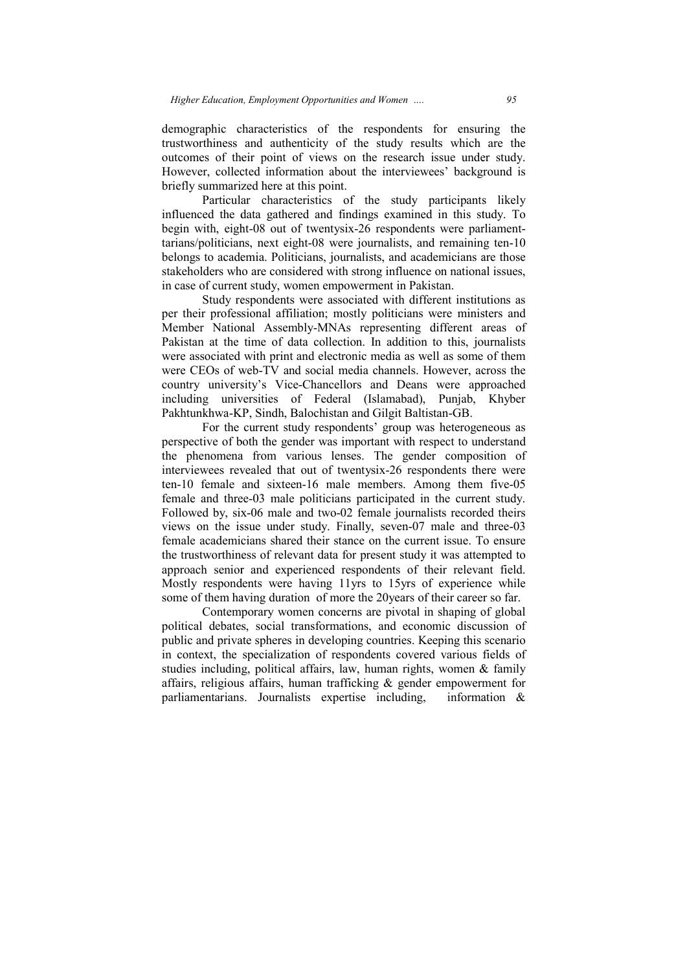demographic characteristics of the respondents for ensuring the trustworthiness and authenticity of the study results which are the outcomes of their point of views on the research issue under study. However, collected information about the interviewees' background is briefly summarized here at this point. dents for ensuring the<br>y results which are the<br>earch issue under study.<br>erviewees' background is<br>tudy participants likely<br>amined in this study. To

Particular characteristics of the study participants likely influenced the data gathered and findings examined in this study. To begin with, eight-08 out of twentysix-26 respondents were parliamenttarians/politicians, next eight-08 were journalists, and remaining ten-10 belongs to academia. Politicians, journalists, and academicians are those stakeholders who are considered with strong influence on national issues, in case of current study, women empowerment in Pakistan. bilected information about the interviewees' background is<br>narized here at this point.<br>icular characteristics of the study participants likely<br>he data gathered and findings examined in this study. To<br>eight-08 out of twenty

Study respondents were associated with different institutions as per their professional affiliation; mostly politicians were ministers and in case of current study, women empowerment in Pakistan.<br>
Study respondents were associated with different institutions as<br>
per their professional affiliation; mostly politicians were ministers and<br>
Member National Assembl Pakistan at the time of data collection. In addition to this, journalists were associated with print and electronic media as well as some of them Member National Assembly-MNAs representing different areas of Pakistan at the time of data collection. In addition to this, journalists were associated with print and electronic media as well as some of them were CEOs of w country university's Vice-Chancellors and Deans were approached including universities of Federal (Islamabad), Punjab, Khyber Pakhtunkhwa-KP, Sindh, Balochistan and Gilgit Baltistan-GB.

For the current study respondents' group was heterogeneous as perspective of both the gender was important with respect to understand the phenomena from various lenses. The gender composition of perspective of both the gender was important with respect to understand<br>the phenomena from various lenses. The gender composition of<br>interviewees revealed that out of twentysix-26 respondents there were ten-10 female and sixteen-16 male members. Among them female and three-03 male politicians participated in the current study. Followed by, six-06 male and two-02 female journalists recorded theirs views on the issue under study. Finally, seven-07 male and three female academicians shared their stance on the current issue. To ensure the trustworthiness of relevant data for present study it was attempted to approach senior and experienced respondents of their relevant field. Mostly respondents were having 11yrs to 15yrs of experience while some of them having duration of more the 20years of their career so far. Chancellors and Deans were approached<br>Federal (Islamabad), Punjab, Khyber<br>Ilochistan and Gilgit Baltistan-GB.<br>Iy respondents' group was heterogeneous as<br>ler was important with respect to understand<br>ious lenses. The gender 03 male politicians participated in the current study.<br>06 male and two-02 female journalists recorded theirs<br>are under study. Finally, seven-07 male and three-03

Contemporary women concerns are pivotal in shaping of global political debates, social transformations, and economic discussion of public and private spheres in developing countries. Keeping this scenario in context, the specialization of respondents covered various fields of studies including, political affairs, law, human rights, women  $\&$  family affairs, religious affairs, human trafficking & gender empowerment for parliamentarians. Journalists expertise including, m having duration of more the 20years of their career so far.<br>Intemporary women concerns are pivotal in shaping of global<br>bates, social transformations, and economic discussion of<br>private spheres in developing countries. K te spheres in developing countries. Keeping this scenario specialization of respondents covered various fields of g, political affairs, law, human rights, women & family affairs, human trafficking & gender empowerment for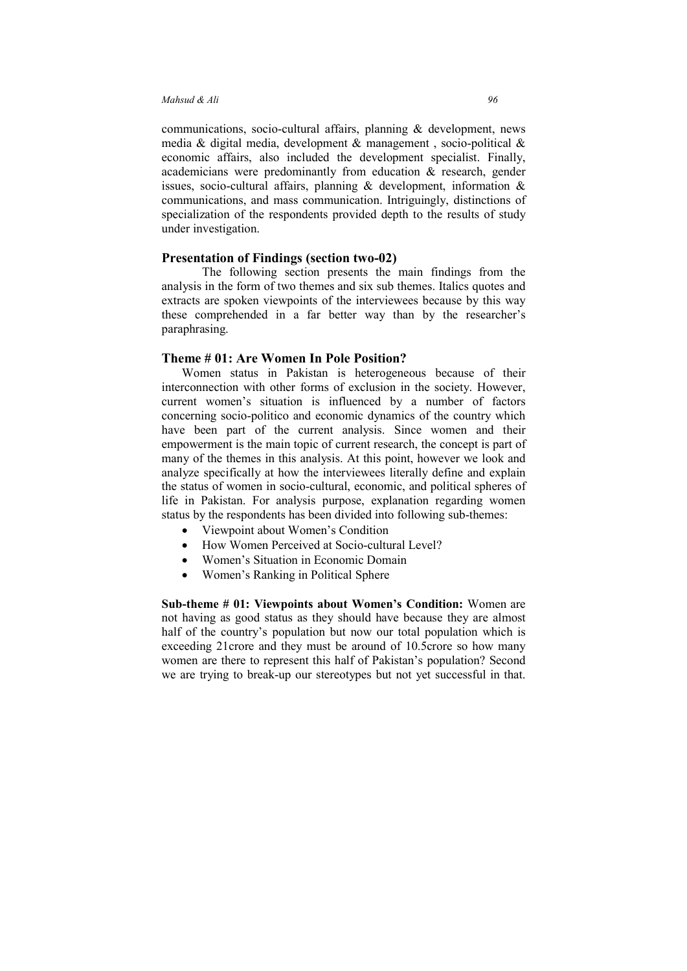communications, socio-cultural affairs, planning & development, news media & digital media, development & management , socio-political & economic affairs, also included the development specialist. Finally, academicians were predominantly from education & research, gender issues, socio-cultural affairs, planning & development, information & communications, and mass communication. Intriguingly, distinctions of specialization of the respondents provided depth to the results of study under investigation.

### **Presentation of Findings (section two-02)**

The following section presents the main findings from the analysis in the form of two themes and six sub themes. Italics quotes and extracts are spoken viewpoints of the interviewees because by this way these comprehended in a far better way than by the researcher's paraphrasing.

#### **Theme # 01: Are Women In Pole Position?**

Women status in Pakistan is heterogeneous because of their interconnection with other forms of exclusion in the society. However, current women's situation is influenced by a number of factors concerning socio-politico and economic dynamics of the country which have been part of the current analysis. Since women and their empowerment is the main topic of current research, the concept is part of many of the themes in this analysis. At this point, however we look and analyze specifically at how the interviewees literally define and explain the status of women in socio-cultural, economic, and political spheres of life in Pakistan. For analysis purpose, explanation regarding women status by the respondents has been divided into following sub-themes:

- Viewpoint about Women's Condition
- How Women Perceived at Socio-cultural Level?
- Women's Situation in Economic Domain
- Women's Ranking in Political Sphere

**Sub-theme # 01: Viewpoints about Women's Condition:** Women are not having as good status as they should have because they are almost half of the country's population but now our total population which is exceeding 21crore and they must be around of 10.5crore so how many women are there to represent this half of Pakistan's population? Second we are trying to break-up our stereotypes but not yet successful in that.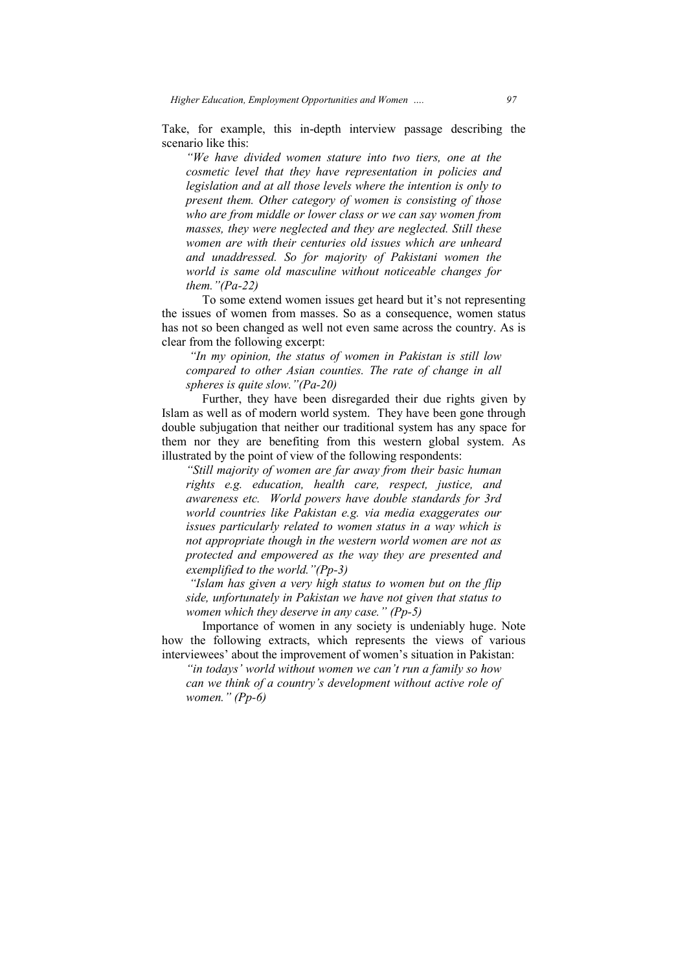Take, for example, this in-depth interview passage describing the scenario like this:

*"We have divided women stature into two tiers, one at the cosmetic level that they have representation in policies and legislation and at all those levels where the intention is only to present them. Other category of women is consisting of those who are from middle or lower class or we can say women from masses, they were neglected and they are neglected. Still these women are with their centuries old issues which are unheard and unaddressed. So for majority of Pakistani women the world is same old masculine without noticeable changes for them."(Pacosmetic level that they have representati*<br>*legislation and at all those levels where the*<br>*present them. Other category of women is*<br>*who are from middle or lower class or we c*<br>*masses, they were neglected and they are divided women stature into two tiers, one at the level that they have representation in policies and n and at all those levels where the intention is only to hem. Other category of women is consisting of those <i>from mid* 

To some extend women issues get heard but it's not representing the issues of women from masses. So as a consequence, women status has not so been changed as well not even same across the country. As is clear from the following excerpt:

*"In my opinion, the status of women in Pakistan is still low compared to other Asian counties. The rate of change in all spheres is quite slow."(Pa slow."(Pa-20)* 

Further, they have been disregarded their due rights given by Further, they have been disregarded their due rights given by Islam as well as of modern world system. They have been gone through double subjugation that neither our traditional system has any space for them nor they are benefiting from this western global system. As illustrated by the point of view of the following respondents:

"Still majority of women are far away from their basic human *rights e.g. education, health care, respect, justice, and awareness etc. World powers have double standards for 3rd world countries like Pakistan e.g. via media exaggerates our issues particularly related to women status in a way which is not appropriate though in the western world women are not as protected and empowered as the way they are presented and exemplified to the world."(Pp e.g. education, health*<br>*ness etc. World powers h*<br>*countries like Pakistan e.*<br>*particularly related to wo*<br>*propriate though in the we<br>ted and empowered as the*<br>*lified to the world.* "(*Pp-3*) *sicharry in their basic hun*<br> *sighth* care, respect, justice,<br> *sighth* care, respect, justice,<br> *sighthane sighthane sighthane sighthane*<br> *sighthane sighthane sighthane sighthane*<br> *sighthanes sighthane*

*"Islam has given a very high status to women but on the flip side, unfortunately in Pakistan we have not give given that status to women which they deserve in any case." (Pp (Pp-5)* 

Importance of women in any society is undeniably huge. Note how the following extracts, which represents the views of various interviewees' about the improvement of women's situation in Pakistan:

"*in todays' world without women we can't run a family so how can we think of a country's development without active role of can we think of d*<br>women." (Pp-6)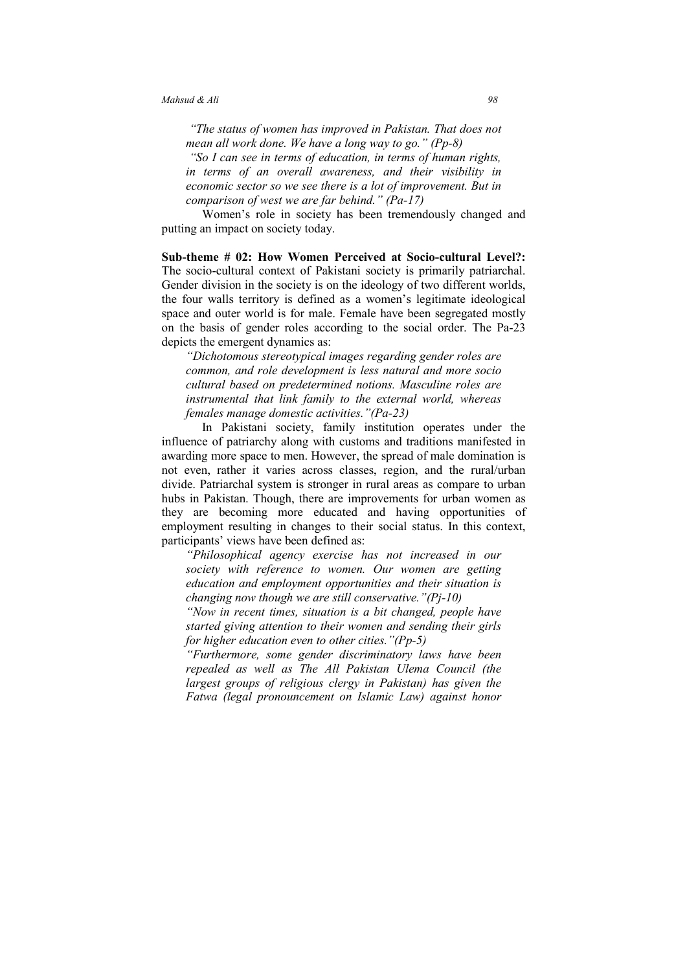*"The status of women has improved in Pakistan. That does not mean all work done. We have a long way to go." (Pp-8) "So I can see in terms of education, in terms of human rights, in terms of an overall awareness, and their visibility in economic sector so we see there is a lot of improvement. But in comparison of west we are far behind." (Pa-17)* 

Women's role in society has been tremendously changed and putting an impact on society today.

**Sub-theme # 02: How Women Perceived at Socio-cultural Level?:**  The socio-cultural context of Pakistani society is primarily patriarchal. Gender division in the society is on the ideology of two different worlds, the four walls territory is defined as a women's legitimate ideological space and outer world is for male. Female have been segregated mostly on the basis of gender roles according to the social order. The Pa-23 depicts the emergent dynamics as:

*"Dichotomous stereotypical images regarding gender roles are common, and role development is less natural and more socio cultural based on predetermined notions. Masculine roles are instrumental that link family to the external world, whereas females manage domestic activities."(Pa-23)* 

In Pakistani society, family institution operates under the influence of patriarchy along with customs and traditions manifested in awarding more space to men. However, the spread of male domination is not even, rather it varies across classes, region, and the rural/urban divide. Patriarchal system is stronger in rural areas as compare to urban hubs in Pakistan. Though, there are improvements for urban women as they are becoming more educated and having opportunities of employment resulting in changes to their social status. In this context, participants' views have been defined as:

*"Philosophical agency exercise has not increased in our society with reference to women. Our women are getting education and employment opportunities and their situation is changing now though we are still conservative."(Pj-10)* 

*"Now in recent times, situation is a bit changed, people have started giving attention to their women and sending their girls for higher education even to other cities."(Pp-5)* 

*"Furthermore, some gender discriminatory laws have been repealed as well as The All Pakistan Ulema Council (the largest groups of religious clergy in Pakistan) has given the Fatwa (legal pronouncement on Islamic Law) against honor*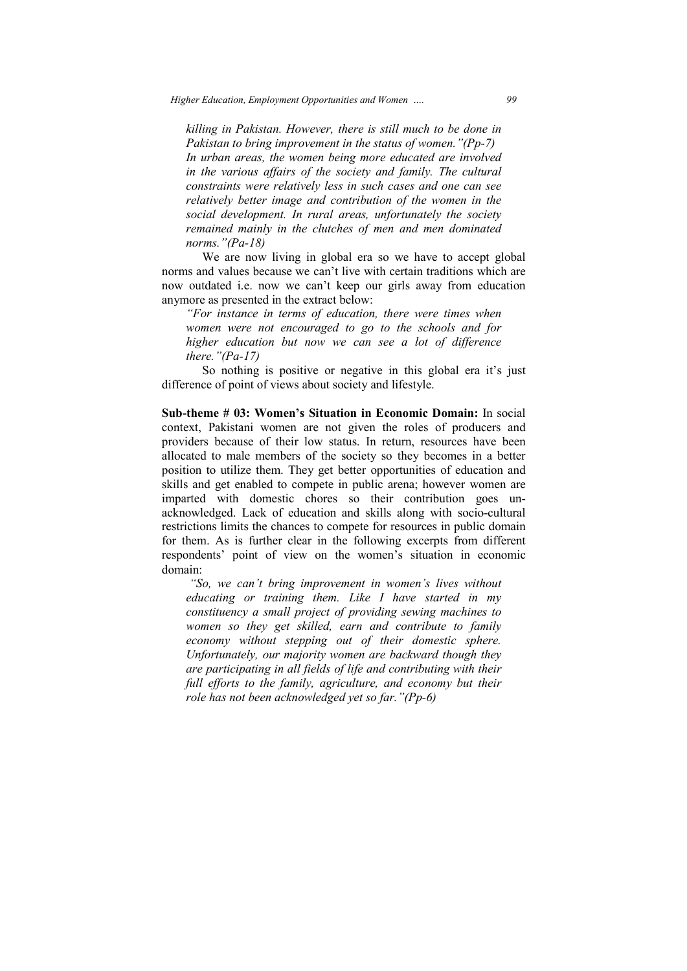*killing in Pakistan. However, there is still much to be done in killing in Pakistan. However, there is still much to be done in*<br>Pakistan to bring improvement in the status of women."(Pp-7) *In urban areas, the women being more educated are involved in the various affairs of the society and family. The cultural In urban areas, the women being more educated are involved*<br>*in the various affairs of the society and family. The cultural*<br>constraints were relatively less in such cases and one can see *relatively better image and contribution of the women in the social development. In rural areas, unfortunately the society*  remained mainly in the clutches of men and men dominated *norms."(Pa norms."(Pa-18)* 

We are now living in global era so we have to accept global norms and values because we can't live with certain traditions which are norms and values because we can't live with certain traditions which are now outdated i.e. now we can't keep our girls away from education anymore as presented in the extract below: w living<br>because w<br>now we

*"For instance in terms of education, there were times when women were not encouraged to go to the schools and for higher education but now we can see a lot of difference there."(Patre not encouraged to go to the*<br>*ucation but now we can see a*<br>-17) *education but now* 

So nothing is positive or negative in this global era it's just difference of point of views about society and lifestyle.

**Sub-theme # 03: Women's Situation in Economic Domain:** In social context, Pakistani women are not given the roles of producers and providers because of their low status. In return, resources have been allocated to male members of the society so they becomes in a better position to utilize them. They get better opportunities of education and skills and get enabled to compete in public arena; however women are position to utilize them. They get better opportunities of education and skills and get enabled to compete in public arena; however women are imparted with domestic chores so their contribution goes unacknowledged. Lack of education and skills along with socio restrictions limits the chances to compete for resources in public domain for them. As is further clear in the following excerpts from different respondents' point of view on the women's situation in economic domain: oviders because of their low status. In return, resources have been located to male members of the society so they becomes in a better sition to utilize them. They get better opportunities of education and ills and get ena domestic chores so their contribution goes un-<br>ack of education and skills along with socio-cultural<br>the chances to compete for resources in public domain<br>further clear in the following excerpts from different socio-cultural

"So, we can't bring improvement in women's lives without educating or training them. Like I have started in my constituency a small project of providing sewing machines to women so they get skilled, earn and contribute to *educating or training them. Like I have started in my*  constituency a small project of providing sewing machines to *women so they get skilled, earn and contribute to family economy without stepping out of their domestic sphere. Unfortunately, our majority women are backward though they*  are participating in all fields of life and contributing with their full efforts to the family, agriculture, and economy but their *role has not been acknowledged yet so far."(Pp-6)*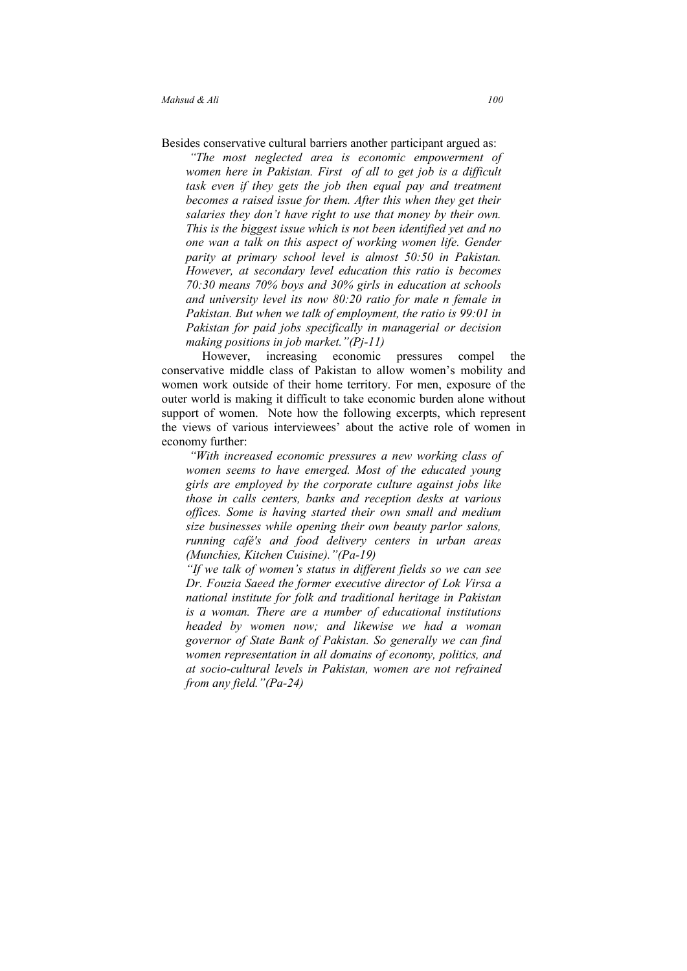- Besides conservative cultural barriers another participant argued as:
	- *"The most neglected area is economic empowerment of women here in Pakistan. First of all to get job is a difficult task even if they gets the job then equal pay and treatment becomes a raised issue for them. After this when they get their salaries they don't have right to use that money by their own. This is the biggest issue which is not been identified yet and no one wan a talk on this aspect of working women life. Gender parity at primary school level is almost 50:50 in Pakistan. However, at secondary level education this ratio is becomes 70:30 means 70% boys and 30% girls in education at schools and university level its now 80:20 ratio for male n female in Pakistan. But when we talk of employment, the ratio is 99:01 in Pakistan for paid jobs specifically in managerial or decision making positions in job market."(Pj-11)*

However, increasing economic pressures compel the conservative middle class of Pakistan to allow women's mobility and women work outside of their home territory. For men, exposure of the outer world is making it difficult to take economic burden alone without support of women. Note how the following excerpts, which represent the views of various interviewees' about the active role of women in economy further:

 *"With increased economic pressures a new working class of women seems to have emerged. Most of the educated young girls are employed by the corporate culture against jobs like those in calls centers, banks and reception desks at various offices. Some is having started their own small and medium size businesses while opening their own beauty parlor salons, running café's and food delivery centers in urban areas (Munchies, Kitchen Cuisine)."(Pa-19)* 

*"If we talk of women's status in different fields so we can see Dr. Fouzia Saeed the former executive director of Lok Virsa a national institute for folk and traditional heritage in Pakistan is a woman. There are a number of educational institutions headed by women now; and likewise we had a woman governor of State Bank of Pakistan. So generally we can find women representation in all domains of economy, politics, and at socio-cultural levels in Pakistan, women are not refrained from any field."(Pa-24)*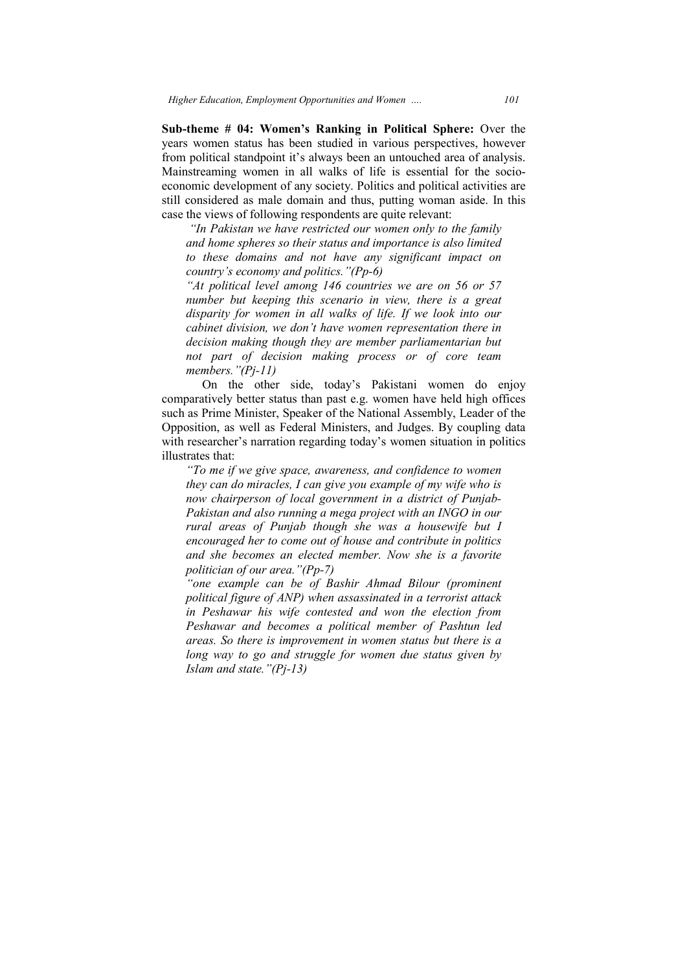**Sub-theme # 04: Women's Ranking in Political Sphere:** Over the years women status has been studied in various perspectives, however from political standpoint it's always been an untouched area of analysis. Mainstreaming women in all walks of life is essential for the socio economic development of any society. Politics and political activities are still considered as male domain and thus, putting woman aside. In this case the views of following respondents are quite relevant: years women status has been studied in various perspectives, however<br>from political standpoint it's always been an untouched area of analysis.<br>Mainstreaming women in all walks of life is essential for the socio-

*"In Pakistan we have restricted our women only to the family and home spheres so their status and importance is also limited to the family*<br>*these pains and home spheres so their status and importance is also limited*<br>*to these domains and not have any significant impact on country's economy and politics."(Pp-6)* 

*"At political level among 146 countries we are on 56 or 57 number but keeping this scenario in view, there is a great disparity for women in all walks of life. If we look into our cabinet division, we d decision making though they are member parliamentarian but not part of decision making process or of core team members."(Pj members."(Pj-11) At political level among 146 countries we are on 56 or 57* number but keeping this scenario in view, there is a great disparity for women in all walks of life. If we look into our cabinet division, we don't have women rep *so their status and importance is also l*<br>*and not have any significant importance is also l*<br>*and politics.* "(Pp-6)<br>*among 146 countries we are on 56*<br>*ng this scenario in view, there is a*<br>*en in all walks of life. If* 

On the other side, today's Pakistani women do enjoy comparatively better status than past e.g. women have held high offices such as Prime Minister, Speaker of the National Assembly, Leader of the Opposition, as well as Federal Ministers, and Judges. By coupling data with researcher's narration regarding today's women situation in politics illustrates that: st e.g. women have held high of<br>the National Assembly, Leader of<br>insters, and Judges. By coupling

*"To me if we give space, awareness, and confidence to women they can do miracles, I can give you example of my wife who is*  now chairperson of local government in a district of Punjab-*Pakistan and also running a mega project with an INGO in rural areas of Punjab though she was a housewife but I encouraged her to come out of house and contribute in politics and she becomes an elected member. Now she is a favorite politician of our area."(Pp loow chairperson of local gov*<br>*Pakistan and also running a m*<br>*rural areas of Punjab thoug*<br>*encouraged her to come out of*<br>*and she becomes an elected*<br>*politician of our area.* "(Pp-7) *our* 

"one example can be of Bashir Ahmad Bilour (prominent *political figure of ANP) when assassinated in a terrorist attack in Peshawar his wife contested and won the election from Peshawar and becomes a political member of Pashtun led areas. So there is improvement in women status but there is a long way to go and struggle for women due status given by Islam and state."(Pj state."(Pj-13) ab though she was a housewife but I* me out of house and contribute in politics elected member. Now she is a favorite "(Pp-7)<br>pe of Bashir Ahmad Bilour (prominent P) when assassinated in a terrorist attack is contested an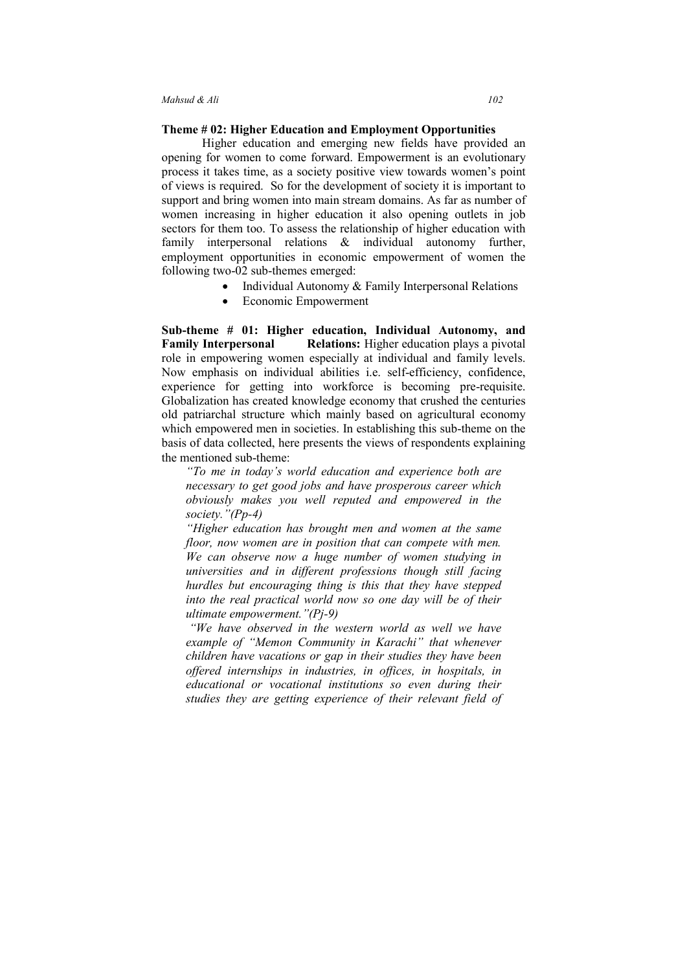#### **Theme # 02: Higher Education and Employment Opportunities**

 Higher education and emerging new fields have provided an opening for women to come forward. Empowerment is an evolutionary process it takes time, as a society positive view towards women's point of views is required. So for the development of society it is important to support and bring women into main stream domains. As far as number of women increasing in higher education it also opening outlets in job sectors for them too. To assess the relationship of higher education with family interpersonal relations & individual autonomy further, employment opportunities in economic empowerment of women the following two-02 sub-themes emerged:

- Individual Autonomy & Family Interpersonal Relations
- Economic Empowerment

**Sub-theme # 01: Higher education, Individual Autonomy, and Family Interpersonal Relations:** Higher education plays a pivotal role in empowering women especially at individual and family levels. Now emphasis on individual abilities i.e. self-efficiency, confidence, experience for getting into workforce is becoming pre-requisite. Globalization has created knowledge economy that crushed the centuries old patriarchal structure which mainly based on agricultural economy which empowered men in societies. In establishing this sub-theme on the basis of data collected, here presents the views of respondents explaining the mentioned sub-theme:

*"To me in today's world education and experience both are necessary to get good jobs and have prosperous career which obviously makes you well reputed and empowered in the society."(Pp-4)* 

*"Higher education has brought men and women at the same floor, now women are in position that can compete with men. We can observe now a huge number of women studying in universities and in different professions though still facing hurdles but encouraging thing is this that they have stepped into the real practical world now so one day will be of their ultimate empowerment."(Pj-9)* 

 *"We have observed in the western world as well we have example of "Memon Community in Karachi" that whenever children have vacations or gap in their studies they have been offered internships in industries, in offices, in hospitals, in educational or vocational institutions so even during their studies they are getting experience of their relevant field of*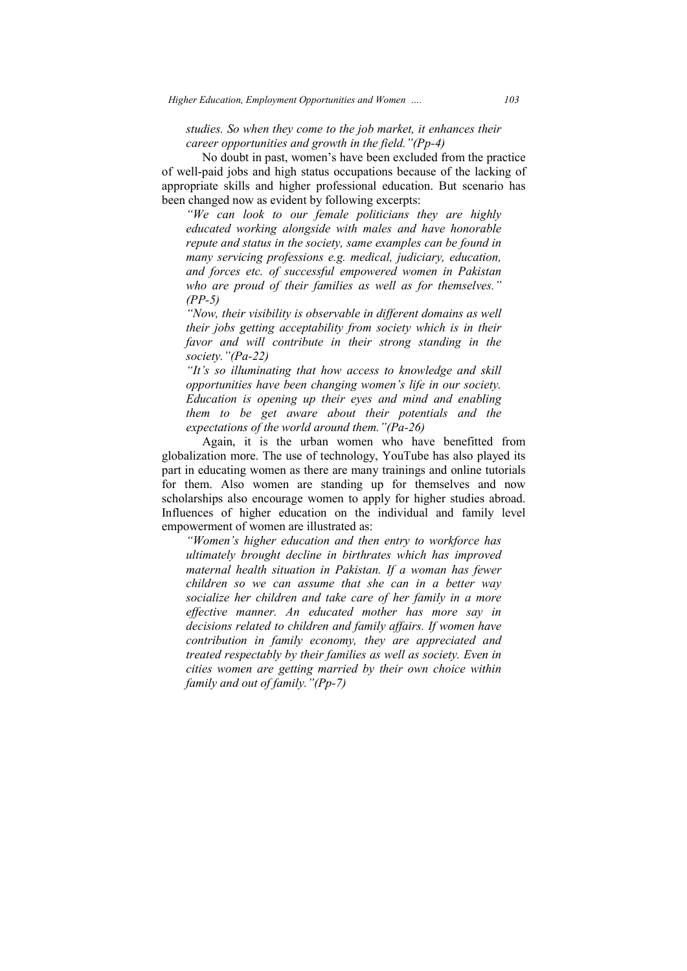*studies. So when they come to the job market, it enhances their career opportunities and growth in the field."(Pp field."(Pp-4)* 

No doubt in past, women's have been excluded from the practice of well-paid jobs and high status occupations because of the lacking of No doubt in past, women's have been excluded from the practice<br>of well-paid jobs and high status occupations because of the lacking of<br>appropriate skills and higher professional education. But scenario has been changed now as evident by following excerpts:

*"We can look to our female politicians they are highly educated working alongside with males and have honorable repute and status in the society, same examples can be found in many servicin servicing professions e.g. medical, judiciary, education, and forces etc. of successful empowered women in Pakistan who are proud of their families as well as for themselves." (PP-5) working alongside with males and have honorable d status in the society, same examples can be found in vicing professions e.g. medical, judiciary, education, setc. of successful empowered women in Pakistan proud of their* 

*"Now, their visibility is observable in different domains as well their jobs getting acceptability from society which is in their favor and will contribute in their strong standing in the society."(Pa domains wisibility is observable in different domains*<br>*domains their jobs getting acceptability from society which is their strong standing*<br>*favor and will contribute in their strong standing*<br>*society.*"*(Pa-22)* 

*"It's so illuminating that how access to knowledge and skill opportunities have been changing women's life in our society. Education is opening up their eyes and mind and enabling them to be get aware about their potentials and the expectations of the world around them."(Pa tion is opening up their eyes and mind and to be get aware about their potentials ations of the world around them."(Pa-26)* 

Again, it is the urban women who have benefitted from globalization more. The use of technology, YouTube has also played its part in educating women as there are many trainings and online tutorials for them. Also women are standing up for themselves and now scholarships also encourage women to apply for higher studies abroad. Influences of higher education on the individual and family level empowerment of women are illustrated as:

*"Women's higher education and then entry to workforce has ultimately brought decline in birthrates which has improved maternal health situation in Pakistan. If a woman has fewer children so we can assume that she can in a better way socialize her children and take care of her family in a more effective manner. An educated mother has more say in decisions related to children and family affairs. If women have contribution in family econ treated respectably by their families as well as society. Even in cities women are getting married by their own choice within family and out of family."(Pp family."(Pp-7) children so we can assume that she can in a better way socialize her children and take care of her family in a more effective manner. An educated mother has more say in decisions related to children and family affairs. If higher education and then entry to workforce*<br>*brought decline in birthrates which has imprealth situation in Pakistan. If a woman has*  $j$  we can assume that she can in a better<br>*pr* children and take care of her family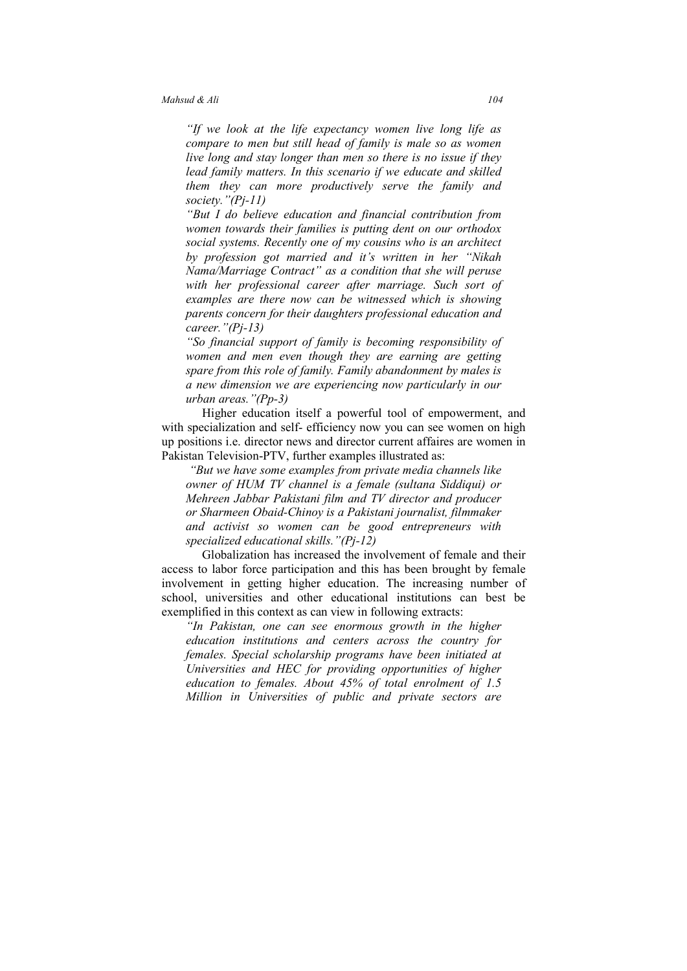*"If we look at the life expectancy women live long life as compare to men but still head of family is male so as women live long and stay longer than men so there is no issue if they lead family matters. In this scenario if we educate and skilled them they can more productively serve the family and society."(Pj-11)* 

*"But I do believe education and financial contribution from women towards their families is putting dent on our orthodox social systems. Recently one of my cousins who is an architect by profession got married and it's written in her "Nikah Nama/Marriage Contract" as a condition that she will peruse with her professional career after marriage. Such sort of examples are there now can be witnessed which is showing parents concern for their daughters professional education and career."(Pj-13)* 

*"So financial support of family is becoming responsibility of women and men even though they are earning are getting spare from this role of family. Family abandonment by males is a new dimension we are experiencing now particularly in our urban areas."(Pp-3)* 

Higher education itself a powerful tool of empowerment, and with specialization and self- efficiency now you can see women on high up positions i.e. director news and director current affaires are women in Pakistan Television-PTV, further examples illustrated as:

 *"But we have some examples from private media channels like owner of HUM TV channel is a female (sultana Siddiqui) or Mehreen Jabbar Pakistani film and TV director and producer or Sharmeen Obaid-Chinoy is a Pakistani journalist, filmmaker and activist so women can be good entrepreneurs with specialized educational skills."(Pj-12)* 

Globalization has increased the involvement of female and their access to labor force participation and this has been brought by female involvement in getting higher education. The increasing number of school, universities and other educational institutions can best be exemplified in this context as can view in following extracts:

*"In Pakistan, one can see enormous growth in the higher education institutions and centers across the country for females. Special scholarship programs have been initiated at Universities and HEC for providing opportunities of higher education to females. About 45% of total enrolment of 1.5 Million in Universities of public and private sectors are*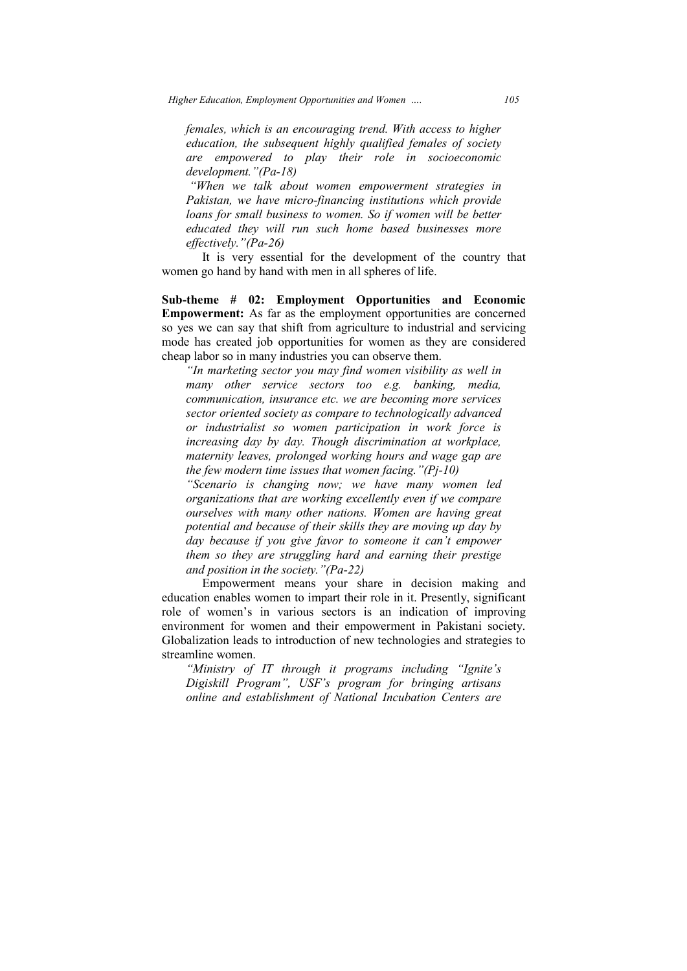*Higher Education, Employment Opportunities and Women ….* 

*females, which i is an encouraging trend. With access to higher education, the subsequent highly qualified females of society are empowered to play their role in socioeconomic development."(Pa development."(Pa-18) s an encouraging tr*<br> *ubsequent highly q*<br> *d* to play their<br> *a*-18)<br> *k* about women enve micro-financing

*"When we talk about women empowerment strategies in Pakistan, we have micro micro-financing institutions which provide loans for small business to women. So if women will be better educated they will run such home based businesses more effectively."(Pa effectively."(Pa-26)* 

It is very essential for the development of the country that women go hand by hand with men in all spheres of life.

Sub-theme # 02: Employment Opportunities and Economic **Empowerment:**  As far as the employment opportunities are concerned **Empowerment:** As far as the employment opportunities are concerned so yes we can say that shift from agriculture to industrial and servicing mode has created job opportunities for women as they are considered cheap labor so in many industries you can observe them.

*"In marketing sector you may find women visibility as well in many other service sectors too e.g. banking, media, communication, insurance etc. we are becoming more services sector oriented society as compare to technologically advanced or industrialist so wom increasing day by day. Though discrimination at workplace,*  maternity leaves, prolonged working hours and wage gap are the few modern time issues that women facing."(Pj-10) *the few modern time issues that women facing."(Pj rance etc. we are becoming more services*<br>*y as compare to technologically advanced*<br>women *participation in work force is through 105* 

*"Scenario is changing now; we have many women led organizations that are working excellently even if we compare ourselves with many other nations. Women are having great potential and because of their skills they are moving up day by day because if you give favor to someone it can't empower them sourselves with many other nations. Women are having great* potential and because of their skills they are moving up day by day because if you give favor to someone it can't empower them so they are struggling hard a *and position in the society."(Pa society."(Pa-22) technologically*<br>*technologically*<br>*technologically*<br>*technologically*<br>*technology though discrimination at waves, prolonged working hours and wage<br><i>dern time issues that women facing.* "*(Pj-1)*<br>*tis changing now; we h* 

Empowerment means your share in decision making and on enables women to impart their role in it. Presently, significant women's in various sectors is an indication of improving education enables women to impart their role in it. role of women's in various sectors is an indication of improving environment for women and their empowerment in Pakistani society. Globalization leads to introduction of new technologies and strategies to streamline women.

*"Ministry of IT through it programs including "Ignite's Digiskill Program", USF's program for bringing artisans <i>online and establishment of National Incubation Centers are*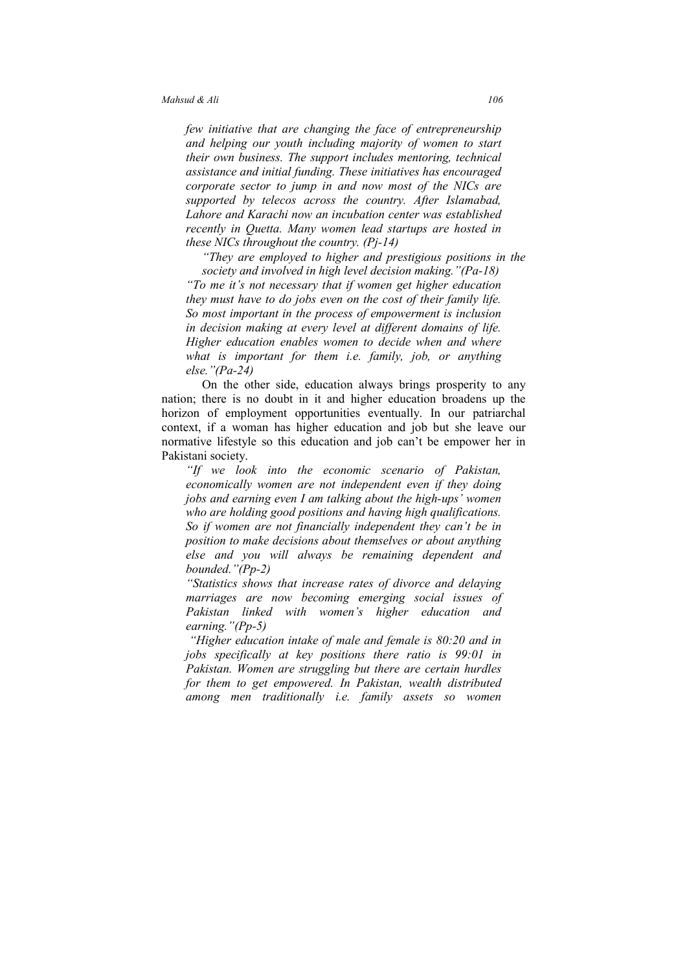*few initiative that are changing the face of entrepreneurship and helping our youth including majority of women to start their own business. The support includes mentoring, technical assistance and initial funding. These initiatives has encouraged corporate sector to jump in and now most of the NICs are supported by telecos across the country. After Islamabad, Lahore and Karachi now an incubation center was established recently in Quetta. Many women lead startups are hosted in these NICs throughout the country. (Pj-14)* 

*"They are employed to higher and prestigious positions in the society and involved in high level decision making."(Pa-18) "To me it's not necessary that if women get higher education they must have to do jobs even on the cost of their family life. So most important in the process of empowerment is inclusion in decision making at every level at different domains of life. Higher education enables women to decide when and where what is important for them i.e. family, job, or anything else."(Pa-24)* 

On the other side, education always brings prosperity to any nation; there is no doubt in it and higher education broadens up the horizon of employment opportunities eventually. In our patriarchal context, if a woman has higher education and job but she leave our normative lifestyle so this education and job can't be empower her in Pakistani society.

*"If we look into the economic scenario of Pakistan, economically women are not independent even if they doing jobs and earning even I am talking about the high-ups' women who are holding good positions and having high qualifications. So if women are not financially independent they can't be in position to make decisions about themselves or about anything else and you will always be remaining dependent and bounded."(Pp-2)* 

*"Statistics shows that increase rates of divorce and delaying marriages are now becoming emerging social issues of Pakistan linked with women's higher education and earning."(Pp-5)* 

*"Higher education intake of male and female is 80:20 and in jobs specifically at key positions there ratio is 99:01 in Pakistan. Women are struggling but there are certain hurdles for them to get empowered. In Pakistan, wealth distributed among men traditionally i.e. family assets so women*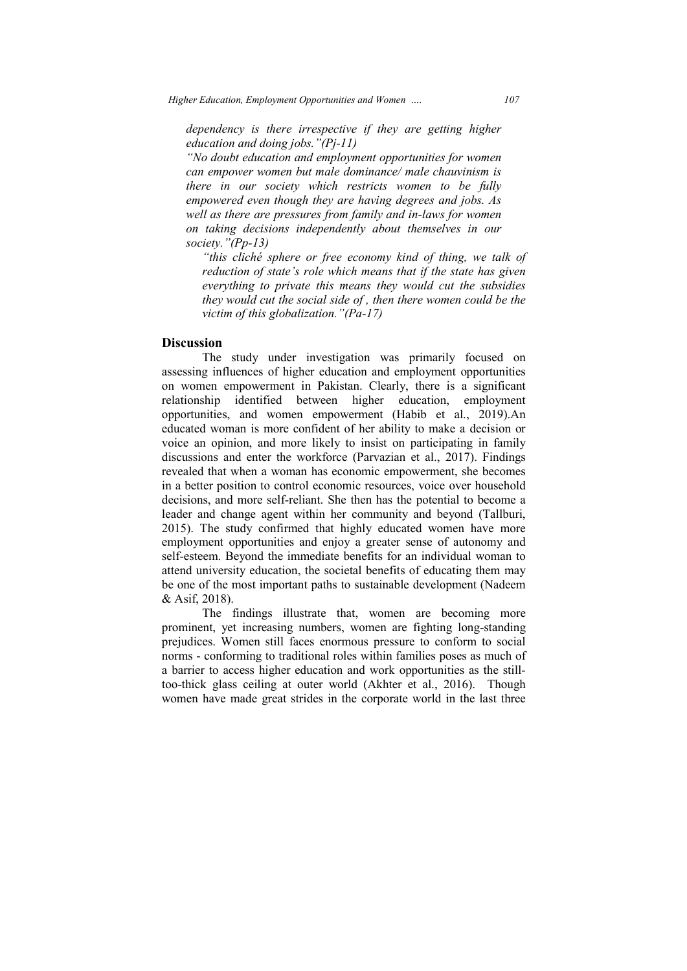*dependency is there irrespective if they are getting higher education and doing jobs."(Pj dependency jobs."(Pj-11)* 

*"No doubt education and employment opportunities for women can empower women but male dominance/ male chauvinism is there in our society which restricts women to be fully empowered even though they are having degrees and jobs. As well as there are pressures from family and i on taking decisions independently about themselves in our society."(Pp ciety."(Pp-13)*  male dominance/ male chauvinism is<br>*hich restricts women to be fully*<br>*hey are having degrees and jobs. As*<br>*is from family and in-laws for women is there irrespective if they are getting higher*<br>*cation and doing jobs.* "( $Pj-11$ )<br>*i* doubt education and employment opportunities for women<br>empower women but male dominance/ male chauvinism is<br>*is* in our society whi

*"this cliché sphere or free economy kind of thing, we talk of reduction of state's role which means that if the state has given everything to private this means they would cut the social side of , then there women could be the they would cut the social side of , the*<br>*victim of this globalization."(Pa-17) talk of thing, we talk of*<br>*ans that if the state has given*<br>*they would cut the subsidies* 

#### **Discussion**

The study under investigation was primarily focused on assessing influences of higher education and employment opportunities on women empowerment in Pakistan. Clearly, there is a significant relationship identified between higher education, employment opportunities, and women empowerment (Habib et al., 2019).An educated woman is more confident of her ability to mak voice an opinion, and more likely to insist on participating in family discussions and enter the workforce (Parvazian et al., 2017). Findings revealed that when a woman has economic empowerment, she becomes in a better position to control economic resources, voice over household decisions, and more self-reliant. She then has the potential to become a leader and change agent within her community and beyond (Tallburi, 2015). The study confirmed that highly educated women have more employment opportunities and enjoy a greater sense of autonomy and self-esteem. Beyond the immediate benefits for an individual woman to attend university education, the societal benefits of educating them may be one of the most important paths to sustainable development (Nadeem & Asif, 2018). identified between higher education, employment<br>and women empowerment (Habib et al., 2019).An<br>an is more confident of her ability to make a decision or loyment opportunities and enjoy a greater sense of autonomy and esteem. Beyond the immediate benefits for an individual woman to d university education, the societal benefits of educating them may ne of the most important ther *Falucation*, *Emphoyment Opportunities and Women* .... 107<br>dependency is there irrespective if they are getting higher<br>eluctation and doing jobs: "[9-11)<br> $\sim$  "No doubt education and employment opportunities for wome er investigation was primarily focused on igher education and employment opportunities to the Pakistan. Clearly, there is a significant between higher education, employment hen empowerment (Habib et al., 2019). An confiden

The findings illustrate that, women are becoming more prominent, yet increasing numbers, women are fighting longprejudices. Women still faces enormous pressure to conform to social norms - conforming to traditional roles within families poses as much of a barrier to access higher education and work opportunities as the stilltoo-thick glass ceiling at outer world (Akhter et al., 2016). Though women have made great strides in the corporate world in the last three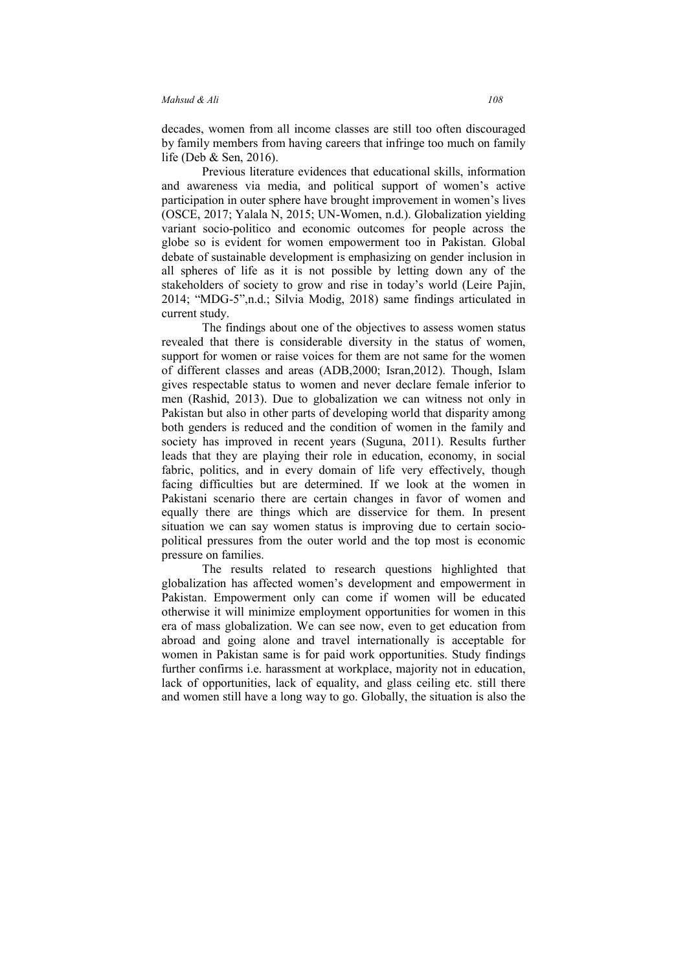decades, women from all income classes are still too often discouraged by family members from having careers that infringe too much on family life (Deb & Sen, 2016).

Previous literature evidences that educational skills, information and awareness via media, and political support of women's active participation in outer sphere have brought improvement in women's lives (OSCE, 2017; Yalala N, 2015; UN-Women, n.d.). Globalization yielding variant socio-politico and economic outcomes for people across the globe so is evident for women empowerment too in Pakistan. Global debate of sustainable development is emphasizing on gender inclusion in all spheres of life as it is not possible by letting down any of the stakeholders of society to grow and rise in today's world (Leire Pajin, 2014; "MDG-5",n.d.; Silvia Modig, 2018) same findings articulated in current study.

The findings about one of the objectives to assess women status revealed that there is considerable diversity in the status of women, support for women or raise voices for them are not same for the women of different classes and areas (ADB,2000; Isran,2012). Though, Islam gives respectable status to women and never declare female inferior to men (Rashid, 2013). Due to globalization we can witness not only in Pakistan but also in other parts of developing world that disparity among both genders is reduced and the condition of women in the family and society has improved in recent years (Suguna, 2011). Results further leads that they are playing their role in education, economy, in social fabric, politics, and in every domain of life very effectively, though facing difficulties but are determined. If we look at the women in Pakistani scenario there are certain changes in favor of women and equally there are things which are disservice for them. In present situation we can say women status is improving due to certain sociopolitical pressures from the outer world and the top most is economic pressure on families.

 The results related to research questions highlighted that globalization has affected women's development and empowerment in Pakistan. Empowerment only can come if women will be educated otherwise it will minimize employment opportunities for women in this era of mass globalization. We can see now, even to get education from abroad and going alone and travel internationally is acceptable for women in Pakistan same is for paid work opportunities. Study findings further confirms i.e. harassment at workplace, majority not in education, lack of opportunities, lack of equality, and glass ceiling etc. still there and women still have a long way to go. Globally, the situation is also the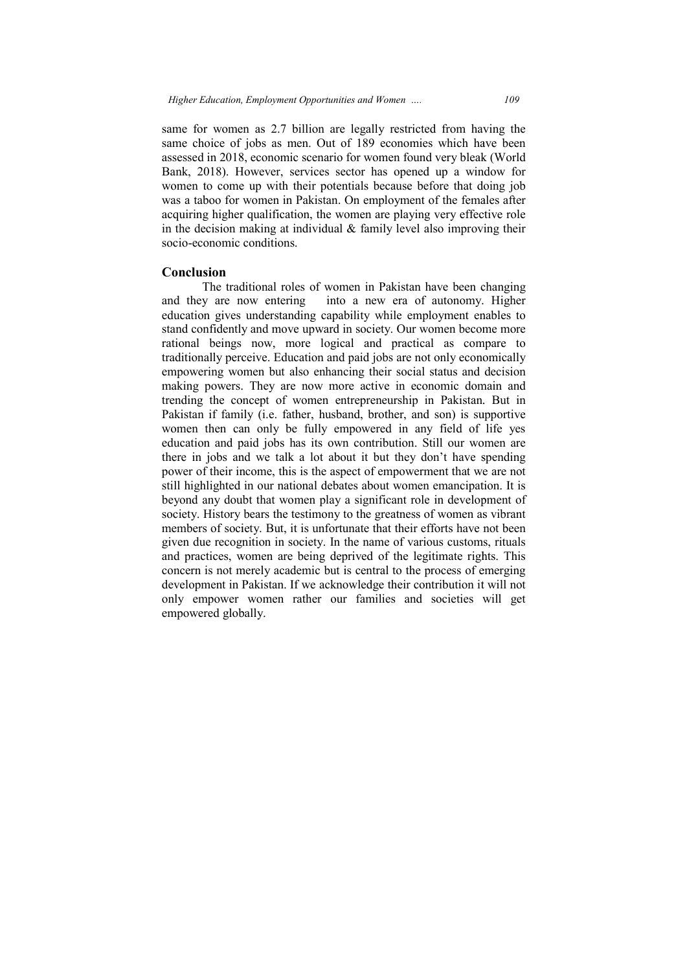same for women as 2.7 billion are legally restricted from having the same choice of jobs as men. Out of 189 economies which have been same choice of jobs as men. Out of 189 economies which have been assessed in 2018, economic scenario for women found very bleak (World Bank, 2018). However, services sector has opened up a window for women to come up with their potentials because before that doing job was a taboo for women in Pakistan. On employment of the females after acquiring higher qualification, the women are playing very effective role in the decision making at individual  $\&$  family level also improving their socio-economic conditions.

### **Conclusion**

The traditional roles of women in Pakistan have been changing and they are now entering into a new era of autonomy. Higher education gives understanding capability while employment enables to stand confidently and move upward in society. Our women become more rational beings now, more logical and practical as compare to traditionally perceive. Education and paid jobs are not only economically empowering women but also enhancing their social status and decision making powers. They are now more active in economic domain and trending the concept of women entrepreneurship in Paki Pakistan if family (i.e. father, husband, brother, and son) is supportive women then can only be fully empowered in any field of life yes education and paid jobs has its own contribution. Still our women are there in jobs and we talk a lot about it but they don't have spending power of their income, this is the aspect of empowerment that we are not still highlighted in our national debates about women emancipation. It is beyond any doubt that women play a significant role in development of society. History bears the testimony to the greatness of women as vibrant members of society. But, it is unfortunate that their efforts have not been given due recognition in society. In the name of various customs, rituals and practices, women are being deprived of the legitimate rights. This concern is not merely academic but is central to the process of emerging development in Pakistan. If we acknowledge their contribution it will not concern is not merely academic but is central to the process of emerging<br>development in Pakistan. If we acknowledge their contribution it will not<br>only empower women rather our families and societies will get empowered globally. uiring higher qualification, the women are playing very effective role<br>he decision making at individual & family level also improving their<br>io-economic conditions.<br>**nclusion**<br>The traditional roles of women in Pakistan have ety. History bears the testimony to the greatness of women as vibrant<br>mbers of society. But, it is unfortunate that their efforts have not been<br>m due recognition in society. In the name of various customs, rituals<br>practice our families obally. *109*  n as 2.7 billion are legally restricted from having the jobs as men. Out of 189 economies which have been over, services sector has opened up a window for up with their potentials because before that doing job women in Pak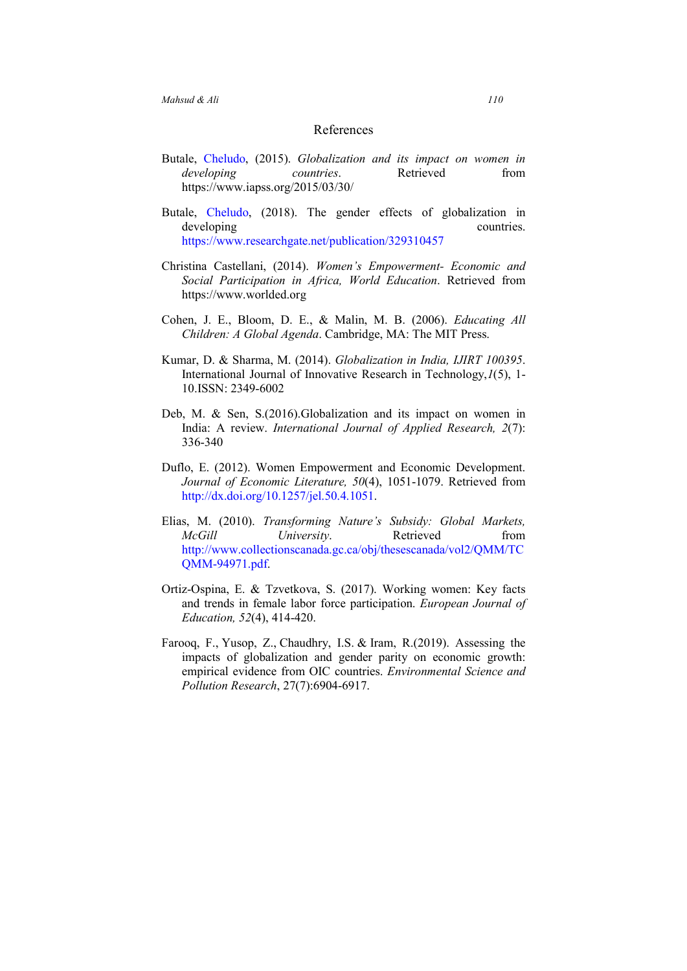### References

- Butale, Cheludo, (2015). *Globalization and its impact on women in developing countries.* Retrieved from https://www.iapss.org/2015/03/30/
- Butale, Cheludo, (2018). The gender effects of globalization in developing countries. https://www.researchgate.net/publication/329310457
- Christina Castellani, (2014). *Women's Empowerment- Economic and Social Participation in Africa, World Education*. Retrieved from https://www.worlded.org
- Cohen, J. E., Bloom, D. E., & Malin, M. B. (2006). *Educating All Children: A Global Agenda*. Cambridge, MA: The MIT Press.
- Kumar, D. & Sharma, M. (2014). *Globalization in India, IJIRT 100395*. International Journal of Innovative Research in Technology,*1*(5), 1- 10.ISSN: 2349-6002
- Deb, M. & Sen, S.(2016).Globalization and its impact on women in India: A review. *International Journal of Applied Research, 2*(7): 336-340
- Duflo, E. (2012). Women Empowerment and Economic Development. *Journal of Economic Literature, 50*(4), 1051-1079. Retrieved from http://dx.doi.org/10.1257/jel.50.4.1051.
- Elias, M. (2010). *Transforming Nature's Subsidy: Global Markets, McGill University*. Retrieved from http://www.collectionscanada.gc.ca/obj/thesescanada/vol2/QMM/TC QMM-94971.pdf.
- Ortiz-Ospina, E. & Tzvetkova, S. (2017). Working women: Key facts and trends in female labor force participation. *European Journal of Education, 52*(4), 414-420.
- Farooq, F., Yusop, Z., Chaudhry, I.S. & Iram, R.(2019). Assessing the impacts of globalization and gender parity on economic growth: empirical evidence from OIC countries. *Environmental Science and Pollution Research*, 27(7):6904-6917.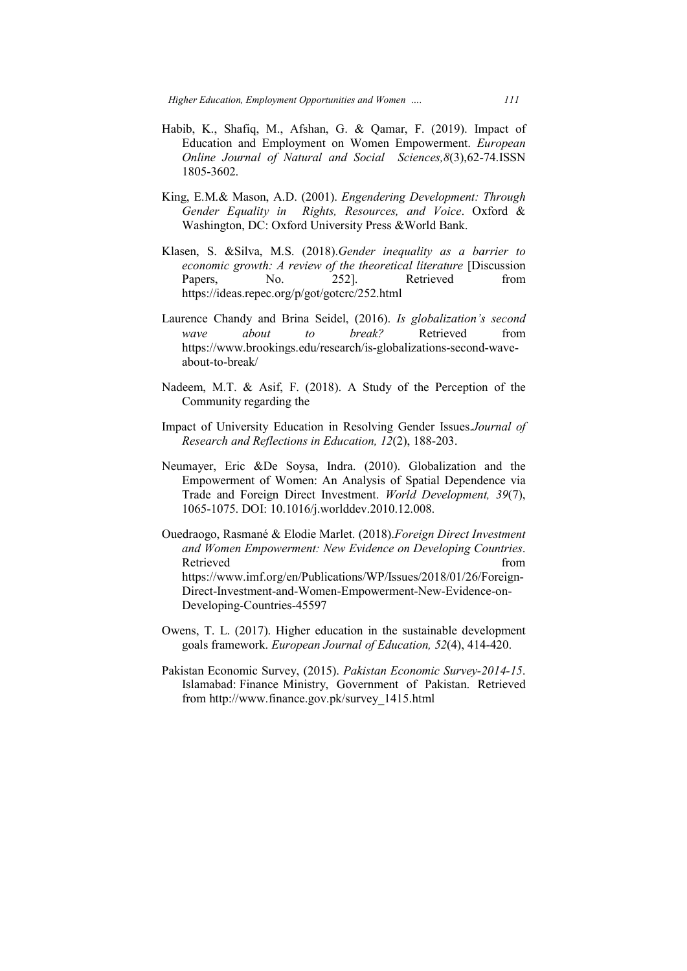- Habib, K., Shafiq, Shafiq, M., Afshan, G. & Qamar, F. (2019). Impact of Education and Employment on Women Empowerment. *European Online Journal of Natural and Social Sciences, 8(3), 62-74. ISSN* 1805-3602.
- King, E.M.& Mason, A.D. (2001). *Engendering Development: Through Gender Equality in Rights, Resources, and Voice*. Oxford & Washington, DC: Oxford University Press & World Bank.
- Klasen, S. &Silva, M.S. (2018). *Gender inequality as a barrier to*  economic growth: A review of the theoretical literature [Discussion Papers, No. 252]. Retrieved from https://ideas.repec.org/p/got/gotcrc/252.html
- Laurence Chandy and Brina Seidel, (2016). Is globalization's second *wave about to break?* https://www.brookings.edu/research/is-globalizations-second-waveabout-to-break/ Retrieved from
- about-to-break/<br>Nadeem, M.T. & Asif, F. (2018). A Study of the Perception of the Community regarding the
- Impact of University Education in Resolving Gender Issues.Journal of *Research and Reflections in Education, 12* (2), 188-203.
- Neumayer, Eric &De Soysa, Indra. (2010). Globalization and the mayer, Eric &De Soysa, Indra. (2010). Globalization and the Empowerment of Women: An Analysis of Spatial Dependence via Trade and Foreign Direct Investment. *World Development*, 39(7), Trade and Foreign Direct Investment. World Development, 39(7), 1065-1075. DOI: 10.1016/j.worlddev.2010.12.008. 1075.
- Ouedraogo, Rasmané Rasmané & Elodie Marlet. (2018).*Foreign Direct Investment and Women Empowerment: New Evidence on Developing Countries* . Retrieved from the state of the state of the state of the state of the state of the state of the state of the state of the state of the state of the state of the state of the state of the state of the state of the state of https://www.imf.org/en/Publications/WP/Issues/2018/01/26/Foreign https://www.imf.org/en/Publications/WP/Issues/2018/01/26/Foreign-Direct-Investment-and-Women-Empowerment-New-Evidence-on-Developing-Countries-45597
- Owens, T. L. (2017). Higher education in the sustainable development goals framework. *European Journal of Education*, 52(4), 414-420.
- Pakistan Economic Survey, (2015). *Pakistan Economic Survey-2014 2014-15*. Islamabad: Finance Ministry, Government of Pakistan. Retrieved from http://www.finance.gov.pk/survey\_1415.html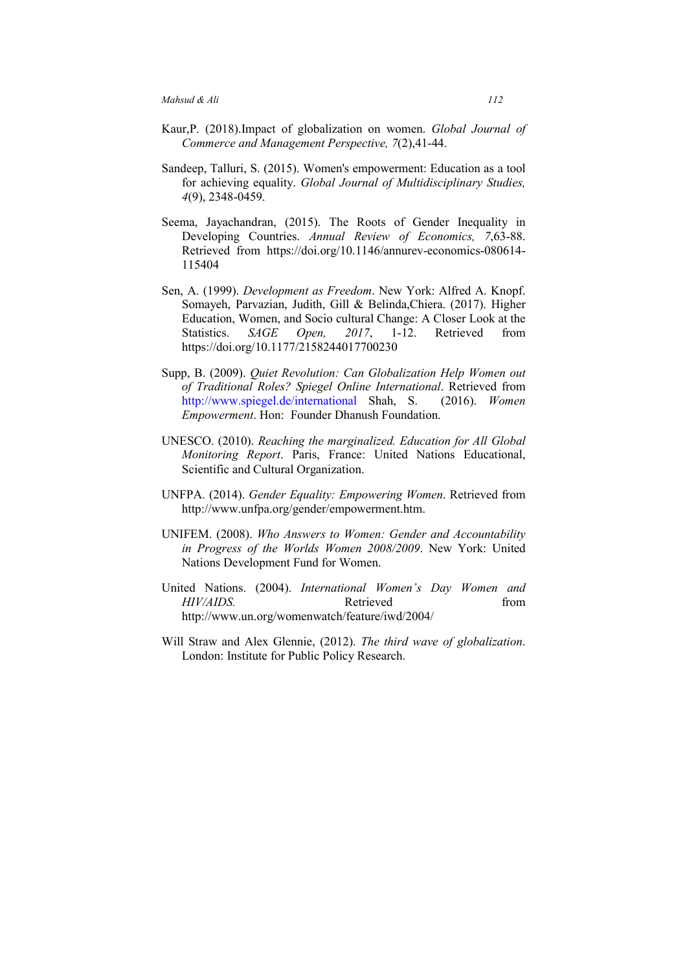- Kaur,P. (2018).Impact of globalization on women. *Global Journal of Commerce and Management Perspective, 7*(2),41-44.
- Sandeep, Talluri, S. (2015). Women's empowerment: Education as a tool for achieving equality. *Global Journal of Multidisciplinary Studies, 4*(9), 2348-0459.
- Seema, Jayachandran, (2015). The Roots of Gender Inequality in Developing Countries. *Annual Review of Economics, 7*,63-88. Retrieved from https://doi.org/10.1146/annurev-economics-080614- 115404
- Sen, A. (1999). *Development as Freedom*. New York: Alfred A. Knopf. Somayeh, Parvazian, Judith, Gill & Belinda,Chiera. (2017). Higher Education, Women, and Socio cultural Change: A Closer Look at the Statistics. *SAGE Open, 2017*, 1-12. Retrieved from https://doi.org/10.1177/2158244017700230
- Supp, B. (2009). *Quiet Revolution: Can Globalization Help Women out of Traditional Roles? Spiegel Online International*. Retrieved from http://www.spiegel.de/international Shah, S. (2016). *Women Empowerment*. Hon: Founder Dhanush Foundation.
- UNESCO. (2010). *Reaching the marginalized. Education for All Global Monitoring Report*. Paris, France: United Nations Educational, Scientific and Cultural Organization.
- UNFPA. (2014). *Gender Equality: Empowering Women*. Retrieved from http://www.unfpa.org/gender/empowerment.htm.
- UNIFEM. (2008). *Who Answers to Women: Gender and Accountability in Progress of the Worlds Women 2008/2009*. New York: United Nations Development Fund for Women.
- United Nations. (2004). *International Women's Day Women and HIV/AIDS.* Retrieved from http://www.un.org/womenwatch/feature/iwd/2004/
- Will Straw and Alex Glennie, (2012). *The third wave of globalization*. London: Institute for Public Policy Research.